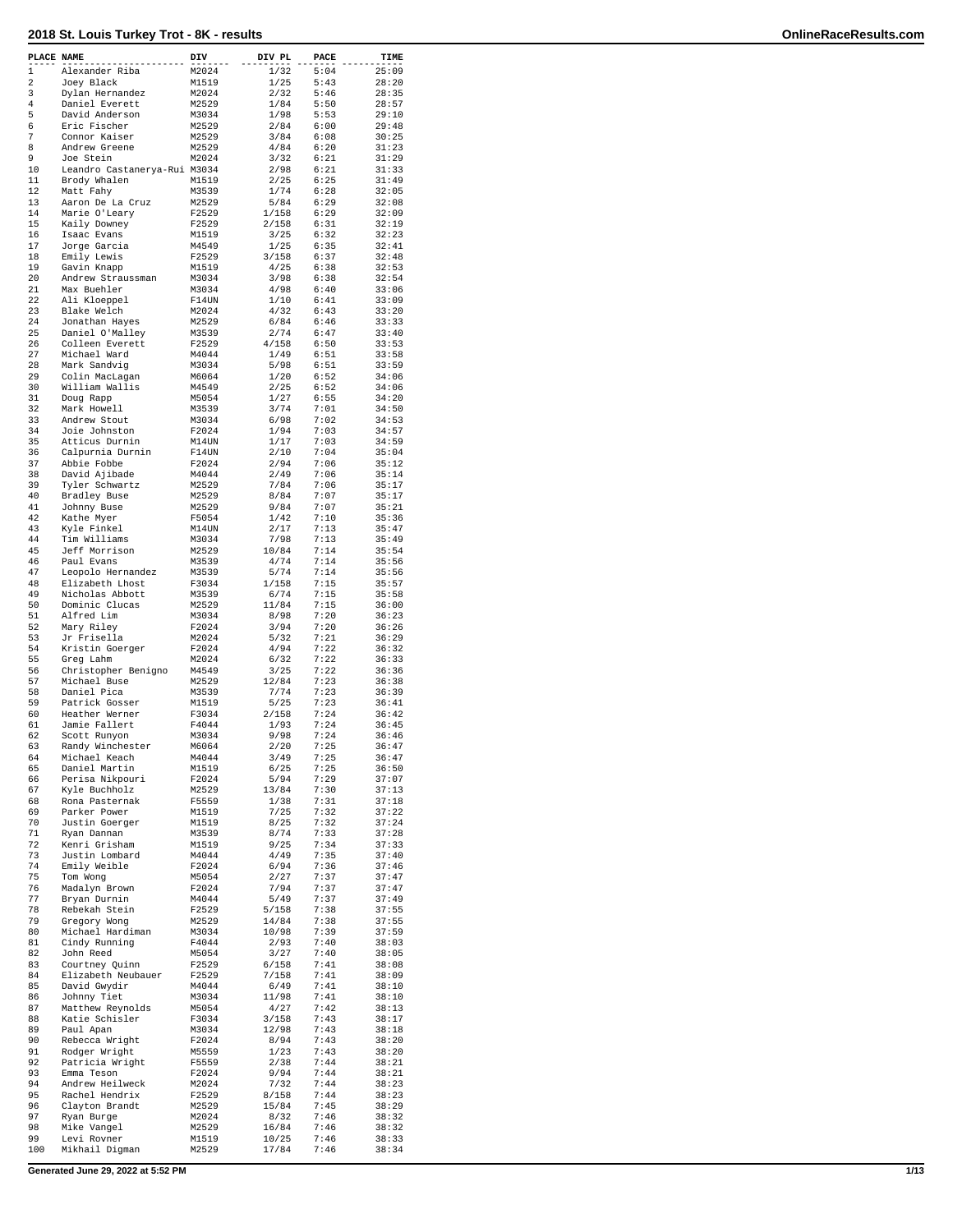| PLACE NAME     |                                    | DIV            | DIV PL        | PACE         | TIME           |
|----------------|------------------------------------|----------------|---------------|--------------|----------------|
| 1              | Alexander Riba                     | M2024          | 1/32          | 5:04         | 25:09          |
| 2              | Joey Black                         | M1519          | 1/25          | 5:43         | 28:20          |
| 3              | Dylan Hernandez                    | M2024          | 2/32          | 5:46         | 28:35          |
| $\overline{4}$ | Daniel Everett                     | M2529          | 1/84          | 5:50         | 28:57          |
| 5              | David Anderson                     | M3034          | 1/98          | 5:53         | 29:10          |
| 6              | Eric Fischer                       | M2529          | 2/84          | 6:00         | 29:48          |
| 7              | Connor Kaiser                      | M2529          | 3/84          | 6:08         | 30:25          |
| 8              | Andrew Greene                      | M2529          | 4/84          | 6:20         | 31:23          |
| 9              | Joe Stein                          | M2024          | 3/32          | 6:21         | 31:29          |
| 10             | Leandro Castanerya-Rui M3034       |                | 2/98          | 6:21         | 31:33          |
| 11             | Brody Whalen                       | M1519          | 2/25          | 6:25         | 31:49          |
| 12             | Matt Fahy                          | M3539          | 1/74          | 6:28         | 32:05          |
| 13<br>14       | Aaron De La Cruz                   | M2529<br>F2529 | 5/84<br>1/158 | 6:29<br>6:29 | 32:08<br>32:09 |
| 15             | Marie O'Leary<br>Kaily Downey      | F2529          | 2/158         | 6:31         | 32:19          |
| 16             | Isaac Evans                        | M1519          | 3/25          | 6:32         | 32:23          |
| 17             | Jorge Garcia                       | M4549          | 1/25          | 6:35         | 32:41          |
| 18             | Emily Lewis                        | F2529          | 3/158         | 6:37         | 32:48          |
| 19             | Gavin Knapp                        | M1519          | 4/25          | 6:38         | 32:53          |
| 20             | Andrew Straussman                  | M3034          | 3/98          | 6:38         | 32:54          |
| 21             | Max Buehler                        | M3034          | 4/98          | 6:40         | 33:06          |
| 22             | Ali Kloeppel                       | F14UN          | 1/10          | 6:41         | 33:09          |
| 23             | Blake Welch                        | M2024          | 4/32          | 6:43         | 33:20          |
| 24             | Jonathan Hayes                     | M2529          | 6/84          | 6:46         | 33:33          |
| 25             | Daniel O'Malley                    | M3539          | 2/74          | 6:47         | 33:40          |
| 26             | Colleen Everett                    | F2529          | 4/158         | 6:50         | 33:53          |
| 27             | Michael Ward                       | M4044          | 1/49          | 6:51         | 33:58          |
| 28             | Mark Sandvig                       | M3034          | 5/98          | 6:51         | 33:59          |
| 29<br>30       | Colin MacLagan                     | M6064<br>M4549 | 1/20          | 6:52         | 34:06          |
| 31             | William Wallis<br>Doug Rapp        | M5054          | 2/25<br>1/27  | 6:52<br>6:55 | 34:06<br>34:20 |
| 32             | Mark Howell                        | M3539          | 3/74          | 7:01         | 34:50          |
| 33             | Andrew Stout                       | M3034          | 6/98          | 7:02         | 34:53          |
| 34             | Joie Johnston                      | F2024          | 1/94          | 7:03         | 34:57          |
| 35             | Atticus Durnin                     | M14UN          | 1/17          | 7:03         | 34:59          |
| 36             | Calpurnia Durnin                   | F14UN          | 2/10          | 7:04         | 35:04          |
| 37             | Abbie Fobbe                        | F2024          | 2/94          | 7:06         | 35:12          |
| 38             | David Ajibade                      | M4044          | 2/49          | 7:06         | 35:14          |
| 39             | Tyler Schwartz                     | M2529          | 7/84          | 7:06         | 35:17          |
| 40             | Bradley Buse                       | M2529          | 8/84          | 7:07         | 35:17          |
| 41             | Johnny Buse                        | M2529          | 9/84          | 7:07         | 35:21          |
| 42             | Kathe Myer                         | F5054          | 1/42          | 7:10         | 35:36          |
| 43             | Kyle Finkel                        | M14UN          | 2/17          | 7:13         | 35:47          |
| 44             | Tim Williams                       | M3034          | 7/98          | 7:13         | 35:49          |
| 45             | Jeff Morrison                      | M2529          | 10/84         | 7:14         | 35:54          |
| 46             | Paul Evans                         | M3539          | 4/74          | 7:14         | 35:56          |
| 47<br>48       | Leopolo Hernandez                  | M3539          | 5/74          | 7:14         | 35:56          |
| 49             | Elizabeth Lhost<br>Nicholas Abbott | F3034<br>M3539 | 1/158<br>6/74 | 7:15<br>7:15 | 35:57<br>35:58 |
| 50             | Dominic Clucas                     | M2529          | 11/84         | 7:15         | 36:00          |
| 51             | Alfred Lim                         | M3034          | 8/98          | 7:20         | 36:23          |
| 52             | Mary Riley                         | F2024          | 3/94          | 7:20         | 36:26          |
| 53             | Jr Frisella                        | M2024          | 5/32          | 7:21         | 36:29          |
| 54             | Kristin Goerger                    | F2024          | 4/94          | 7:22         | 36:32          |
| 55             | Greg Lahm                          | M2024          | 6/32          | 7:22         | 36:33          |
| 56             | Christopher Benigno                | M4549          | 3/25          | 7:22         | 36:36          |
| 57             | Michael Buse                       | M2529          | 12/84         | 7:23         | 36:38          |
| 58             | Daniel Pica                        | M3539          | 7/74          | 7:23         | 36:39          |
| 59             | Patrick Gosser                     | M1519          | 5/25          | 7:23         | 36:41          |
| 60             | Heather Werner                     | F3034          | 2/158         | 7:24         | 36:42          |
| 61<br>62       | Jamie Fallert<br>Scott Runyon      | F4044          | 1/93          | 7:24<br>7:24 | 36:45          |
| 63             | Randy Winchester                   | M3034<br>M6064 | 9/98          | 7:25         | 36:46<br>36:47 |
| 64             | Michael Keach                      | M4044          | 2/20<br>3/49  | 7:25         | 36:47          |
| 65             | Daniel Martin                      | M1519          | 6/25          | 7:25         | 36:50          |
| 66             | Perisa Nikpouri                    | F2024          | 5/94          | 7:29         | 37:07          |
| 67             | Kyle Buchholz                      | M2529          | 13/84         | 7:30         | 37:13          |
| 68             | Rona Pasternak                     | F5559          | 1/38          | 7:31         | 37:18          |
| 69             | Parker Power                       | M1519          | 7/25          | 7:32         | 37:22          |
| 70             | Justin Goerger                     | M1519          | 8/25          | 7:32         | 37:24          |
| 71             | Ryan Dannan                        | M3539          | 8/74          | 7:33         | 37:28          |
| 72             | Kenri Grisham                      | M1519          | 9/25          | 7:34         | 37:33          |
| 73<br>74       | Justin Lombard                     | M4044          | 4/49          | 7:35         | 37:40          |
| 75             | Emily Weible                       | F2024          | 6/94          | 7:36         | 37:46          |
| 76             | Tom Wong<br>Madalyn Brown          | M5054<br>F2024 | 2/27<br>7/94  | 7:37<br>7:37 | 37:47<br>37:47 |
| 77             | Bryan Durnin                       | M4044          | 5/49          | 7:37         | 37:49          |
| 78             | Rebekah Stein                      | F2529          | 5/158         | 7:38         | 37:55          |
| 79             | Gregory Wong                       | M2529          | 14/84         | 7:38         | 37:55          |
| 80             | Michael Hardiman                   | M3034          | 10/98         | 7:39         | 37:59          |
| 81             | Cindy Running                      | F4044          | 2/93          | 7:40         | 38:03          |
| 82             | John Reed                          | M5054          | 3/27          | 7:40         | 38:05          |
| 83             | Courtney Quinn                     | F2529          | 6/158         | 7:41         | 38:08          |
| 84             | Elizabeth Neubauer                 | F2529          | 7/158         | 7:41         | 38:09          |
| 85             | David Gwydir                       | M4044          | 6/49          | 7:41         | 38:10          |
| 86             | Johnny Tiet                        | M3034          | 11/98         | 7:41         | 38:10          |
| 87             | Matthew Reynolds                   | M5054          | 4/27          | 7:42         | 38:13          |
| 88             | Katie Schisler                     | F3034          | 3/158         | 7:43         | 38:17          |
| 89             | Paul Apan                          | M3034          | 12/98         | 7:43         | 38:18          |
| 90             | Rebecca Wright                     | F2024          | 8/94          | 7:43         | 38:20          |
| 91<br>92       | Rodger Wright<br>Patricia Wright   | M5559<br>F5559 | 1/23<br>2/38  | 7:43<br>7:44 | 38:20<br>38:21 |
| 93             | Emma Teson                         | F2024          | 9/94          | 7:44         | 38:21          |
| 94             | Andrew Heilweck                    | M2024          | 7/32          | 7:44         | 38:23          |
| 95             | Rachel Hendrix                     | F2529          | 8/158         | 7:44         | 38:23          |
| 96             | Clayton Brandt                     | M2529          | 15/84         | 7:45         | 38:29          |
| 97             | Ryan Burge                         | M2024          | 8/32          | 7:46         | 38:32          |
| 98             | Mike Vangel                        | M2529          | 16/84         | 7:46         | 38:32          |
| 99             | Levi Rovner                        | M1519          | 10/25         | 7:46         | 38:33          |
| 100            | Mikhail Digman                     | M2529          | 17/84         | 7:46         | 38:34          |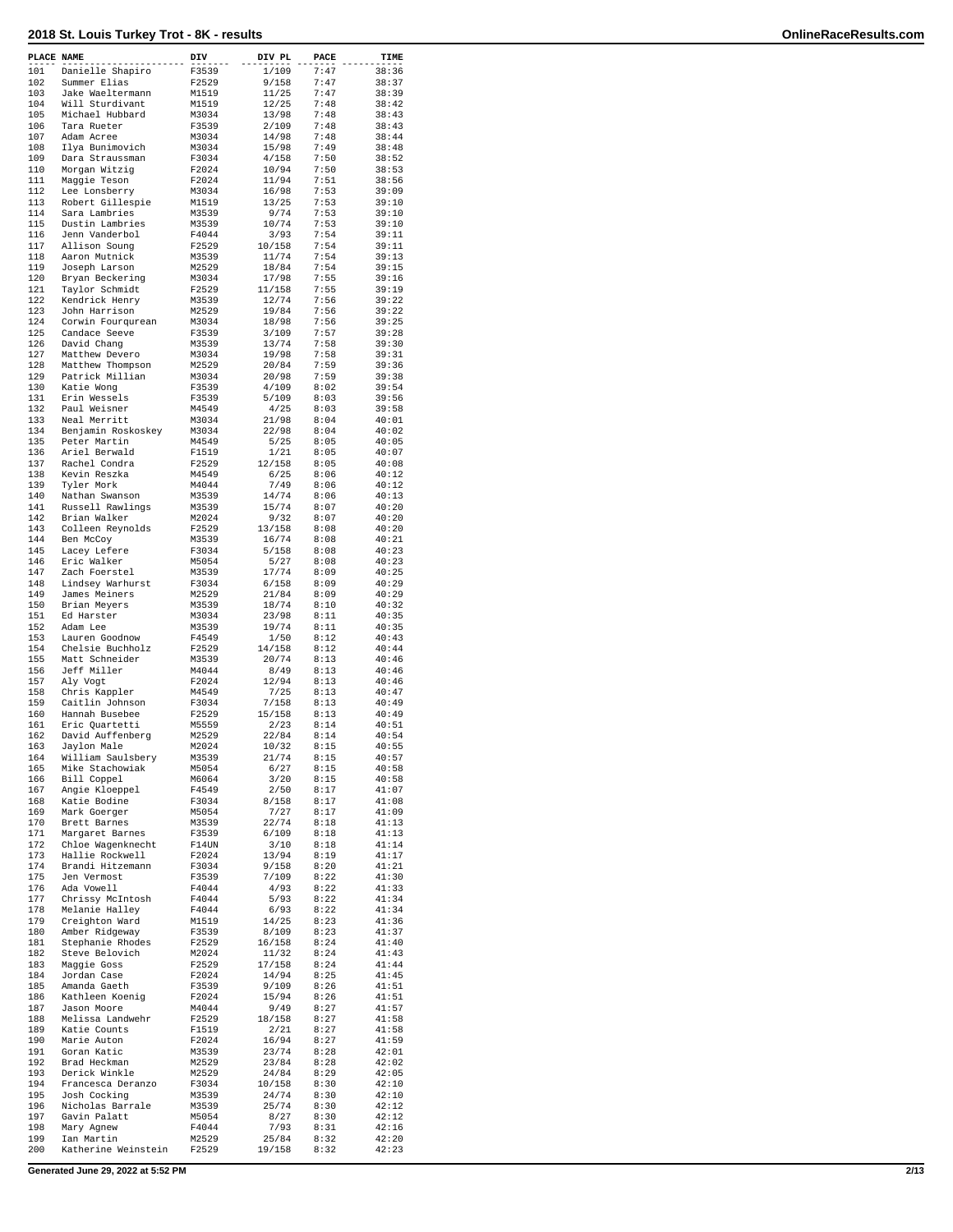| PLACE NAME |                                      | DIV            | DIV PL          | PACE         | TIME           |
|------------|--------------------------------------|----------------|-----------------|--------------|----------------|
| 101        | Danielle Shapiro                     | F3539          | 1/109           | 7:47         | 38:36          |
| 102        | Summer Elias                         | F2529          | 9/158           | 7:47         | 38:37          |
| 103<br>104 | Jake Waeltermann<br>Will Sturdivant  | M1519<br>M1519 | 11/25<br>12/25  | 7:47<br>7:48 | 38:39<br>38:42 |
| 105        | Michael Hubbard                      | M3034          | 13/98           | 7:48         | 38:43          |
| 106        | Tara Rueter                          | F3539          | 2/109           | 7:48         | 38:43          |
| 107        | Adam Acree                           | M3034          | 14/98           | 7:48         | 38:44          |
| 108        | Ilya Bunimovich                      | M3034          | 15/98           | 7:49         | 38:48          |
| 109        | Dara Straussman                      | F3034          | 4/158           | 7:50         | 38:52          |
| 110<br>111 | Morgan Witzig<br>Maggie Teson        | F2024<br>F2024 | 10/94<br>11/94  | 7:50<br>7:51 | 38:53<br>38:56 |
| 112        | Lee Lonsberry                        | M3034          | 16/98           | 7:53         | 39:09          |
| 113        | Robert Gillespie                     | M1519          | 13/25           | 7:53         | 39:10          |
| 114        | Sara Lambries                        | M3539          | 9/74            | 7:53         | 39:10          |
| 115<br>116 | Dustin Lambries                      | M3539<br>F4044 | 10/74           | 7:53<br>7:54 | 39:10          |
| 117        | Jenn Vanderbol<br>Allison Soung      | F2529          | 3/93<br>10/158  | 7:54         | 39:11<br>39:11 |
| 118        | Aaron Mutnick                        | M3539          | 11/74           | 7:54         | 39:13          |
| 119        | Joseph Larson                        | M2529          | 18/84           | 7:54         | 39:15          |
| 120        | Bryan Beckering                      | M3034          | 17/98           | 7:55         | 39:16          |
| 121        | Taylor Schmidt                       | F2529          | 11/158          | 7:55         | 39:19          |
| 122<br>123 | Kendrick Henry<br>John Harrison      | M3539<br>M2529 | 12/74<br>19/84  | 7:56<br>7:56 | 39:22<br>39:22 |
| 124        | Corwin Fourqurean                    | M3034          | 18/98           | 7:56         | 39:25          |
| 125        | Candace Seeve                        | F3539          | 3/109           | 7:57         | 39:28          |
| 126        | David Chang                          | M3539          | 13/74           | 7:58         | 39:30          |
| 127        | Matthew Devero                       | M3034          | 19/98           | 7:58         | 39:31          |
| 128<br>129 | Matthew Thompson<br>Patrick Millian  | M2529<br>M3034 | 20/84<br>20/98  | 7:59<br>7:59 | 39:36<br>39:38 |
| 130        | Katie Wong                           | F3539          | 4/109           | 8:02         | 39:54          |
| 131        | Erin Wessels                         | F3539          | 5/109           | 8:03         | 39:56          |
| 132        | Paul Weisner                         | M4549          | 4/25            | 8:03         | 39:58          |
| 133        | Neal Merritt                         | M3034          | 21/98           | 8:04         | 40:01          |
| 134        | Benjamin Roskoskey                   | M3034          | 22/98           | 8:04<br>8:05 | 40:02          |
| 135<br>136 | Peter Martin<br>Ariel Berwald        | M4549<br>F1519 | 5/25<br>1/21    | 8:05         | 40:05<br>40:07 |
| 137        | Rachel Condra                        | F2529          | 12/158          | 8:05         | 40:08          |
| 138        | Kevin Reszka                         | M4549          | 6/25            | 8:06         | 40:12          |
| 139        | Tyler Mork                           | M4044          | 7/49            | 8:06         | 40:12          |
| 140        | Nathan Swanson                       | M3539          | 14/74           | 8:06         | 40:13          |
| 141<br>142 | Russell Rawlings<br>Brian Walker     | M3539<br>M2024 | 15/74<br>9/32   | 8:07<br>8:07 | 40:20<br>40:20 |
| 143        | Colleen Reynolds                     | F2529          | 13/158          | 8:08         | 40:20          |
| 144        | Ben McCoy                            | M3539          | 16/74           | 8:08         | 40:21          |
| 145        | Lacey Lefere                         | F3034          | 5/158           | 8:08         | 40:23          |
| 146        | Eric Walker                          | M5054          | 5/27            | 8:08         | 40:23          |
| 147<br>148 | Zach Foerstel<br>Lindsey Warhurst    | M3539<br>F3034 | 17/74<br>6/158  | 8:09<br>8:09 | 40:25<br>40:29 |
| 149        | James Meiners                        | M2529          | 21/84           | 8:09         | 40:29          |
| 150        | Brian Meyers                         | M3539          | 18/74           | 8:10         | 40:32          |
| 151        | Ed Harster                           | M3034          | 23/98           | 8:11         | 40:35          |
| 152        | Adam Lee                             | M3539          | 19/74           | 8:11         | 40:35          |
| 153<br>154 | Lauren Goodnow<br>Chelsie Buchholz   | F4549<br>F2529 | 1/50<br>14/158  | 8:12<br>8:12 | 40:43<br>40:44 |
| 155        | Matt Schneider                       | M3539          | 20/74           | 8:13         | 40:46          |
| 156        | Jeff Miller                          | M4044          | 8/49            | 8:13         | 40:46          |
| 157        | Aly Vogt                             | F2024          | 12/94           | 8:13         | 40:46          |
| 158        | Chris Kappler                        | M4549          | 7/25            | 8:13         | 40:47          |
| 159<br>160 | Caitlin Johnson<br>Hannah Busebee    | F3034<br>F2529 | 7/158<br>15/158 | 8:13<br>8:13 | 40:49<br>40:49 |
| 161        | Eric Quartetti                       | M5559          | 2/23            | 8:14         | 40:51          |
| 162        | David Auffenberg                     | M2529          | 22/84           | 8:14         | 40:54          |
| 163        | Jaylon Male                          | M2024          | 10/32           | 8:15         | 40:55          |
| 164        | William Saulsbery                    | M3539          | 21/74           | 8:15         | 40:57          |
| 165<br>166 | Mike Stachowiak                      | M5054<br>M6064 | 6/27<br>3/20    | 8:15<br>8:15 | 40:58<br>40:58 |
| 167        | Bill Coppel<br>Angie Kloeppel        | F4549          | 2/50            | 8:17         | 41:07          |
| 168        | Katie Bodine                         | F3034          | 8/158           | 8:17         | 41:08          |
| 169        | Mark Goerger                         | M5054          | 7/27            | 8:17         | 41:09          |
| 170        | Brett Barnes                         | M3539          | 22/74           | 8:18         | 41:13          |
| 171<br>172 | Margaret Barnes                      | F3539          | 6/109           | 8:18<br>8:18 | 41:13          |
| 173        | Chloe Wagenknecht<br>Hallie Rockwell | F14UN<br>F2024 | 3/10<br>13/94   | 8:19         | 41:14<br>41:17 |
| 174        | Brandi Hitzemann                     | F3034          | 9/158           | 8:20         | 41:21          |
| 175        | Jen Vermost                          | F3539          | 7/109           | 8:22         | 41:30          |
| 176        | Ada Vowell                           | F4044          | 4/93            | 8:22         | 41:33          |
| 177        | Chrissy McIntosh                     | F4044          | 5/93            | 8:22         | 41:34          |
| 178<br>179 | Melanie Halley<br>Creighton Ward     | F4044<br>M1519 | 6/93<br>14/25   | 8:22<br>8:23 | 41:34<br>41:36 |
| 180        | Amber Ridgeway                       | F3539          | 8/109           | 8:23         | 41:37          |
| 181        | Stephanie Rhodes                     | F2529          | 16/158          | 8:24         | 41:40          |
| 182        | Steve Belovich                       | M2024          | 11/32           | 8:24         | 41:43          |
| 183        | Maggie Goss                          | F2529          | 17/158          | 8:24         | 41:44          |
| 184<br>185 | Jordan Case<br>Amanda Gaeth          | F2024          | 14/94<br>9/109  | 8:25<br>8:26 | 41:45<br>41:51 |
| 186        | Kathleen Koenig                      | F3539<br>F2024 | 15/94           | 8:26         | 41:51          |
| 187        | Jason Moore                          | M4044          | 9/49            | 8:27         | 41:57          |
| 188        | Melissa Landwehr                     | F2529          | 18/158          | 8:27         | 41:58          |
| 189        | Katie Counts                         | F1519          | 2/21            | 8:27         | 41:58          |
| 190        | Marie Auton                          | F2024          | 16/94           | 8:27         | 41:59          |
| 191<br>192 | Goran Katic<br>Brad Heckman          | M3539<br>M2529 | 23/74<br>23/84  | 8:28<br>8:28 | 42:01<br>42:02 |
| 193        | Derick Winkle                        | M2529          | 24/84           | 8:29         | 42:05          |
| 194        | Francesca Deranzo                    | F3034          | 10/158          | 8:30         | 42:10          |
| 195        | Josh Cocking                         | M3539          | 24/74           | 8:30         | 42:10          |
| 196        | Nicholas Barrale                     | M3539          | 25/74           | 8:30         | 42:12          |
| 197<br>198 | Gavin Palatt<br>Mary Agnew           | M5054<br>F4044 | 8/27<br>7/93    | 8:30<br>8:31 | 42:12<br>42:16 |
| 199        | Ian Martin                           | M2529          | 25/84           | 8:32         | 42:20          |
| 200        | Katherine Weinstein                  | F2529          | 19/158          | 8:32         | 42:23          |

**Generated June 29, 2022 at 5:52 PM 2/13**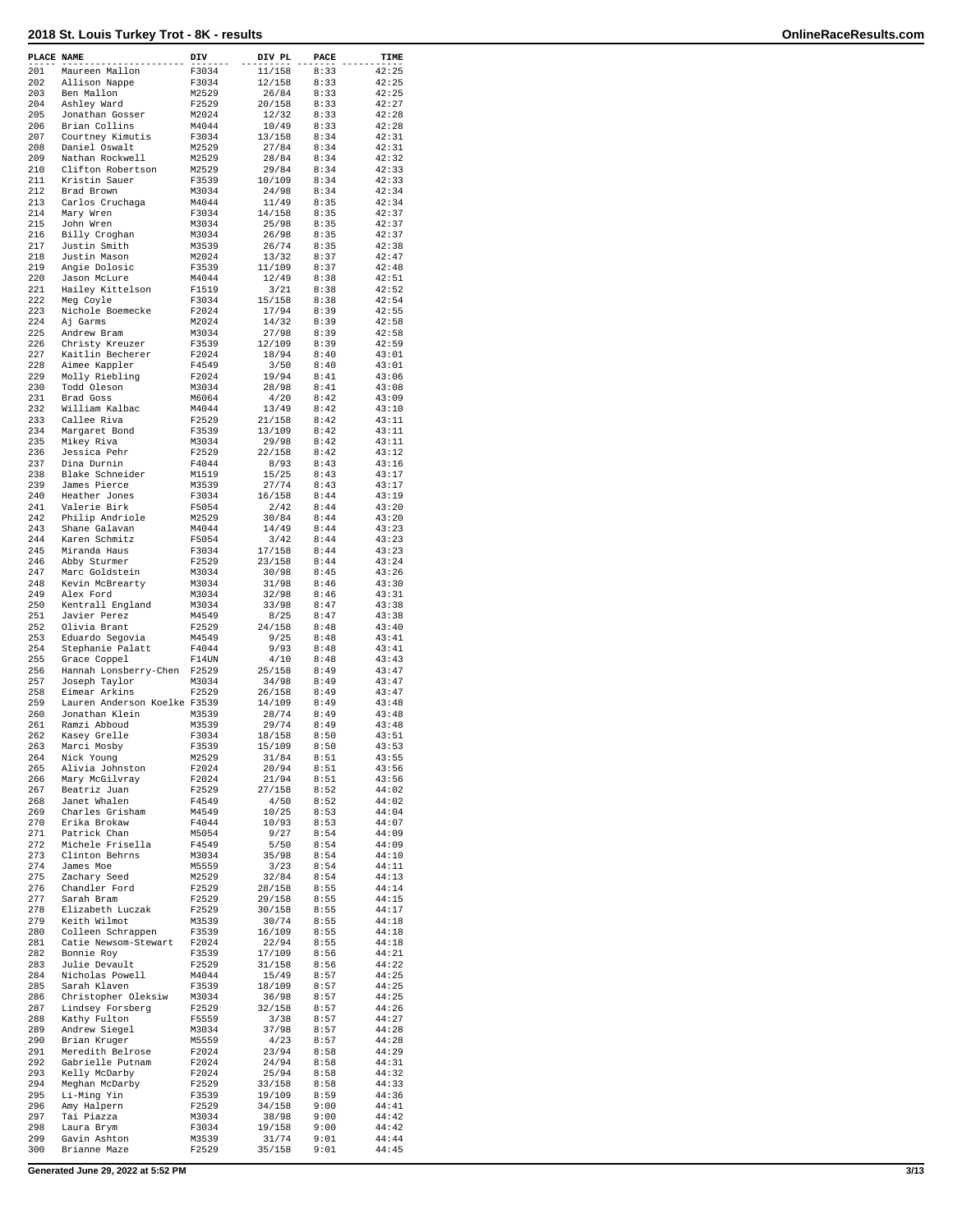| PLACE NAME |                                                | DIV            | DIV PL           | PACE         | TIME           |
|------------|------------------------------------------------|----------------|------------------|--------------|----------------|
| 201        | Maureen Mallon                                 | F3034          | 11/158           | 8:33         | 42:25          |
| 202<br>203 | Allison Nappe<br>Ben Mallon                    | F3034<br>M2529 | 12/158<br>26/84  | 8:33<br>8:33 | 42:25<br>42:25 |
| 204        | Ashley Ward                                    | F2529          | 20/158           | 8:33         | 42:27          |
| 205        | Jonathan Gosser                                | M2024          | 12/32            | 8:33         | 42:28          |
| 206        | Brian Collins                                  | M4044          | 10/49            | 8:33         | 42:28          |
| 207<br>208 | Courtney Kimutis<br>Daniel Oswalt              | F3034<br>M2529 | 13/158<br>27/84  | 8:34<br>8:34 | 42:31<br>42:31 |
| 209        | Nathan Rockwell                                | M2529          | 28/84            | 8:34         | 42:32          |
| 210        | Clifton Robertson                              | M2529          | 29/84            | 8:34         | 42:33          |
| 211        | Kristin Sauer                                  | F3539          | 10/109           | 8:34         | 42:33          |
| 212<br>213 | Brad Brown<br>Carlos Cruchaga                  | M3034<br>M4044 | 24/98<br>11/49   | 8:34<br>8:35 | 42:34<br>42:34 |
| 214        | Mary Wren                                      | F3034          | 14/158           | 8:35         | 42:37          |
| 215        | John Wren                                      | M3034          | 25/98            | 8:35         | 42:37          |
| 216        | Billy Croghan                                  | M3034          | 26/98            | 8:35         | 42:37          |
| 217<br>218 | Justin Smith<br>Justin Mason                   | M3539<br>M2024 | 26/74<br>13/32   | 8:35<br>8:37 | 42:38<br>42:47 |
| 219        | Angie Dolosic                                  | F3539          | 11/109           | 8:37         | 42:48          |
| 220        | Jason McLure                                   | M4044          | 12/49            | 8:38         | 42:51          |
| 221<br>222 | Hailey Kittelson<br>Meg Coyle                  | F1519<br>F3034 | 3/21<br>15/158   | 8:38<br>8:38 | 42:52<br>42:54 |
| 223        | Nichole Boemecke                               | F2024          | 17/94            | 8:39         | 42:55          |
| 224        | Aj Garms                                       | M2024          | 14/32            | 8:39         | 42:58          |
| 225        | Andrew Bram                                    | M3034          | 27/98            | 8:39         | 42:58          |
| 226<br>227 | Christy Kreuzer<br>Kaitlin Becherer            | F3539<br>F2024 | 12/109<br>18/94  | 8:39<br>8:40 | 42:59<br>43:01 |
| 228        | Aimee Kappler                                  | F4549          | 3/50             | 8:40         | 43:01          |
| 229        | Molly Riebling                                 | F2024          | 19/94            | 8:41         | 43:06          |
| 230        | Todd Oleson                                    | M3034          | 28/98            | 8:41         | 43:08          |
| 231<br>232 | Brad Goss<br>William Kalbac                    | M6064<br>M4044 | 4/20<br>13/49    | 8:42<br>8:42 | 43:09<br>43:10 |
| 233        | Callee Riva                                    | F2529          | 21/158           | 8:42         | 43:11          |
| 234        | Margaret Bond                                  | F3539          | 13/109           | 8:42         | 43:11          |
| 235<br>236 | Mikey Riva<br>Jessica Pehr                     | M3034<br>F2529 | 29/98<br>22/158  | 8:42<br>8:42 | 43:11<br>43:12 |
| 237        | Dina Durnin                                    | F4044          | 8/93             | 8:43         | 43:16          |
| 238        | Blake Schneider                                | M1519          | 15/25            | 8:43         | 43:17          |
| 239        | James Pierce                                   | M3539          | 27/74            | 8:43         | 43:17          |
| 240<br>241 | Heather Jones<br>Valerie Birk                  | F3034<br>F5054 | 16/158<br>2/42   | 8:44<br>8:44 | 43:19<br>43:20 |
| 242        | Philip Andriole                                | M2529          | 30/84            | 8:44         | 43:20          |
| 243        | Shane Galavan                                  | M4044          | 14/49            | 8:44         | 43:23          |
| 244        | Karen Schmitz                                  | F5054          | 3/42             | 8:44         | 43:23          |
| 245<br>246 | Miranda Haus<br>Abby Sturmer                   | F3034<br>F2529 | 17/158<br>23/158 | 8:44<br>8:44 | 43:23<br>43:24 |
| 247        | Marc Goldstein                                 | M3034          | 30/98            | 8:45         | 43:26          |
| 248        | Kevin McBrearty                                | M3034          | 31/98            | 8:46         | 43:30          |
| 249        | Alex Ford                                      | M3034          | 32/98            | 8:46         | 43:31          |
| 250<br>251 | Kentrall England<br>Javier Perez               | M3034<br>M4549 | 33/98<br>8/25    | 8:47<br>8:47 | 43:38<br>43:38 |
| 252        | Olivia Brant                                   | F2529          | 24/158           | 8:48         | 43:40          |
| 253        | Eduardo Segovia                                | M4549          | 9/25             | 8:48         | 43:41          |
| 254<br>255 | Stephanie Palatt<br>Grace Coppel               | F4044<br>F14UN | 9/93<br>4/10     | 8:48<br>8:48 | 43:41<br>43:43 |
| 256        | Hannah Lonsberry-Chen                          | F2529          | 25/158           | 8:49         | 43:47          |
| 257        | Joseph Taylor                                  | M3034          | 34/98            | 8:49         | 43:47          |
| 258<br>259 | Eimear Arkins                                  | F2529          | 26/158           | 8:49         | 43:47          |
| 260        | Lauren Anderson Koelke F3539<br>Jonathan Klein | M3539          | 14/109<br>28/74  | 8:49<br>8:49 | 43:48<br>43:48 |
| 261        | Ramzi Abboud                                   | M3539          | 29/74            | 8:49         | 43:48          |
| 262        | Kasey Grelle                                   | F3034          | 18/158           | 8:50         | 43:51          |
| 263<br>264 | Marci Mosby<br>Nick Young                      | F3539<br>M2529 | 15/109<br>31/84  | 8:50<br>8:51 | 43:53<br>43:55 |
| 265        | Alivia Johnston                                | F2024          | 20/94            | 8:51         | 43:56          |
| 266        | Mary McGilvray                                 | F2024          | 21/94            | 8:51         | 43:56          |
| 267<br>268 | Beatriz Juan<br>Janet Whalen                   | F2529<br>F4549 | 27/158<br>4/50   | 8:52<br>8:52 | 44:02<br>44:02 |
| 269        | Charles Grisham                                | M4549          | 10/25            | 8:53         | 44:04          |
| 270        | Erika Brokaw                                   | F4044          | 10/93            | 8:53         | 44:07          |
| 271<br>272 | Patrick Chan                                   | M5054          | 9/27             | 8:54<br>8:54 | 44:09<br>44:09 |
| 273        | Michele Frisella<br>Clinton Behrns             | F4549<br>M3034 | 5/50<br>35/98    | 8:54         | 44:10          |
| 274        | James Moe                                      | M5559          | 3/23             | 8:54         | 44:11          |
| 275        | Zachary Seed                                   | M2529          | 32/84            | 8:54         | 44:13          |
| 276<br>277 | Chandler Ford<br>Sarah Bram                    | F2529<br>F2529 | 28/158<br>29/158 | 8:55<br>8:55 | 44:14<br>44:15 |
| 278        | Elizabeth Luczak                               | F2529          | 30/158           | 8:55         | 44:17          |
| 279        | Keith Wilmot                                   | M3539          | 30/74            | 8:55         | 44:18          |
| 280        | Colleen Schrappen                              | F3539          | 16/109           | 8:55         | 44:18          |
| 281<br>282 | Catie Newsom-Stewart<br>Bonnie Roy             | F2024<br>F3539 | 22/94<br>17/109  | 8:55<br>8:56 | 44:18<br>44:21 |
| 283        | Julie Devault                                  | F2529          | 31/158           | 8:56         | 44:22          |
| 284        | Nicholas Powell                                | M4044          | 15/49            | 8:57         | 44:25          |
| 285<br>286 | Sarah Klaven<br>Christopher Oleksiw            | F3539<br>M3034 | 18/109<br>36/98  | 8:57<br>8:57 | 44:25<br>44:25 |
| 287        | Lindsey Forsberg                               | F2529          | 32/158           | 8:57         | 44:26          |
| 288        | Kathy Fulton                                   | F5559          | 3/38             | 8:57         | 44:27          |
| 289        | Andrew Siegel                                  | M3034          | 37/98            | 8:57         | 44:28          |
| 290<br>291 | Brian Kruger<br>Meredith Belrose               | M5559<br>F2024 | 4/23<br>23/94    | 8:57<br>8:58 | 44:28<br>44:29 |
| 292        | Gabrielle Putnam                               | F2024          | 24/94            | 8:58         | 44:31          |
| 293        | Kelly McDarby                                  | F2024          | 25/94            | 8:58         | 44:32          |
| 294<br>295 | Meghan McDarby<br>Li-Ming Yin                  | F2529<br>F3539 | 33/158<br>19/109 | 8:58<br>8:59 | 44:33<br>44:36 |
| 296        | Amy Halpern                                    | F2529          | 34/158           | 9:00         | 44:41          |
| 297        | Tai Piazza                                     | M3034          | 38/98            | 9:00         | 44:42          |
| 298        | Laura Brym                                     | F3034          | 19/158           | 9:00         | 44:42          |
| 299<br>300 | Gavin Ashton<br>Brianne Maze                   | M3539<br>F2529 | 31/74<br>35/158  | 9:01<br>9:01 | 44:44<br>44:45 |
|            |                                                |                |                  |              |                |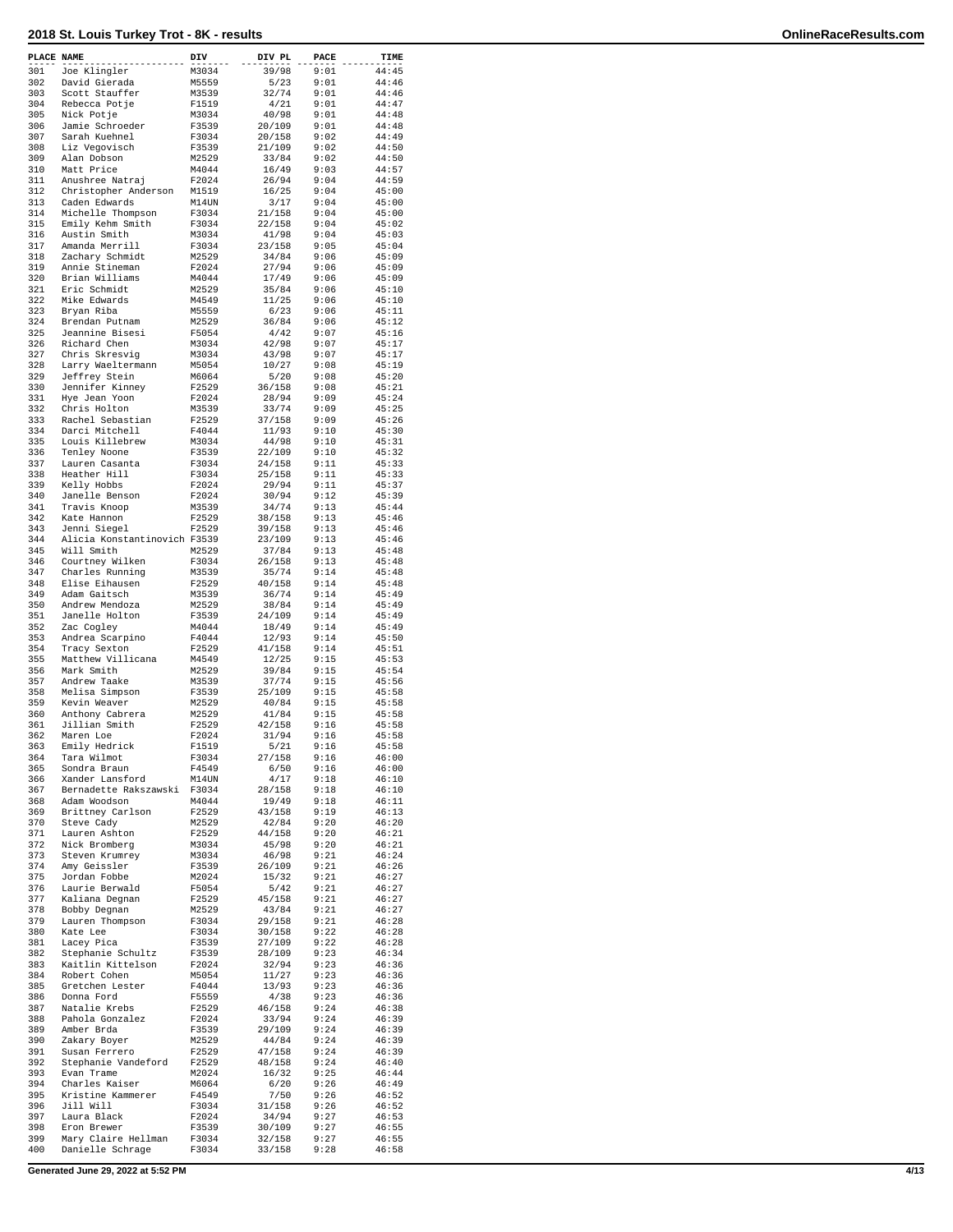| PLACE NAME |                                    | DIV            | DIV PL           | PACE         | TIME           |
|------------|------------------------------------|----------------|------------------|--------------|----------------|
| 301        | Joe Klingler                       | M3034          | 39/98            | 9:01         | 44:45          |
| 302        | David Gierada                      | M5559          | 5/23             | 9:01         | 44:46          |
| 303        | Scott Stauffer                     | M3539          | 32/74            | 9:01         | 44:46          |
| 304        | Rebecca Potje                      | F1519          | 4/21             | 9:01         | 44:47          |
| 305        | Nick Potje                         | M3034          | 40/98            | 9:01         | 44:48          |
| 306        | Jamie Schroeder                    | F3539          | 20/109           | 9:01         | 44:48          |
| 307<br>308 | Sarah Kuehnel<br>Liz Vegovisch     | F3034<br>F3539 | 20/158<br>21/109 | 9:02<br>9:02 | 44:49<br>44:50 |
| 309        | Alan Dobson                        | M2529          | 33/84            | 9:02         | 44:50          |
| 310        | Matt Price                         | M4044          | 16/49            | 9:03         | 44:57          |
| 311        | Anushree Natraj                    | F2024          | 26/94            | 9:04         | 44:59          |
| 312        | Christopher Anderson               | M1519          | 16/25            | 9:04         | 45:00          |
| 313        | Caden Edwards                      | M14UN          | 3/17             | 9:04         | 45:00          |
| 314        | Michelle Thompson                  | F3034          | 21/158           | 9:04         | 45:00          |
| 315        | Emily Kehm Smith                   | F3034          | 22/158           | 9:04         | 45:02          |
| 316        | Austin Smith                       | M3034          | 41/98            | 9:04         | 45:03          |
| 317        | Amanda Merrill                     | F3034          | 23/158           | 9:05         | 45:04          |
| 318<br>319 | Zachary Schmidt<br>Annie Stineman  | M2529<br>F2024 | 34/84<br>27/94   | 9:06<br>9:06 | 45:09<br>45:09 |
| 320        | Brian Williams                     | M4044          | 17/49            | 9:06         | 45:09          |
| 321        | Eric Schmidt                       | M2529          | 35/84            | 9:06         | 45:10          |
| 322        | Mike Edwards                       | M4549          | 11/25            | 9:06         | 45:10          |
| 323        | Bryan Riba                         | M5559          | 6/23             | 9:06         | 45:11          |
| 324        | Brendan Putnam                     | M2529          | 36/84            | 9:06         | 45:12          |
| 325        | Jeannine Bisesi                    | F5054          | 4/42             | 9:07         | 45:16          |
| 326        | Richard Chen                       | M3034          | 42/98            | 9:07         | 45:17          |
| 327<br>328 | Chris Skresvig                     | M3034<br>M5054 | 43/98            | 9:07         | 45:17          |
| 329        | Larry Waeltermann<br>Jeffrey Stein | M6064          | 10/27<br>5/20    | 9:08<br>9:08 | 45:19<br>45:20 |
| 330        | Jennifer Kinney                    | F2529          | 36/158           | 9:08         | 45:21          |
| 331        | Hye Jean Yoon                      | F2024          | 28/94            | 9:09         | 45:24          |
| 332        | Chris Holton                       | M3539          | 33/74            | 9:09         | 45:25          |
| 333        | Rachel Sebastian                   | F2529          | 37/158           | 9:09         | 45:26          |
| 334        | Darci Mitchell                     | F4044          | 11/93            | 9:10         | 45:30          |
| 335        | Louis Killebrew                    | M3034          | 44/98            | 9:10         | 45:31          |
| 336        | Tenley Noone                       | F3539          | 22/109           | 9:10         | 45:32          |
| 337        | Lauren Casanta                     | F3034          | 24/158           | 9:11         | 45:33          |
| 338<br>339 | Heather Hill<br>Kelly Hobbs        | F3034          | 25/158           | 9:11<br>9:11 | 45:33          |
| 340        | Janelle Benson                     | F2024<br>F2024 | 29/94<br>30/94   | 9:12         | 45:37<br>45:39 |
| 341        | Travis Knoop                       | M3539          | 34/74            | 9:13         | 45:44          |
| 342        | Kate Hannon                        | F2529          | 38/158           | 9:13         | 45:46          |
| 343        | Jenni Siegel                       | F2529          | 39/158           | 9:13         | 45:46          |
| 344        | Alicia Konstantinovich F3539       |                | 23/109           | 9:13         | 45:46          |
| 345        | Will Smith                         | M2529          | 37/84            | 9:13         | 45:48          |
| 346        | Courtney Wilken                    | F3034          | 26/158           | 9:13         | 45:48          |
| 347        | Charles Running                    | M3539          | 35/74            | 9:14         | 45:48          |
| 348        | Elise Eihausen                     | F2529          | 40/158           | 9:14         | 45:48          |
| 349<br>350 | Adam Gaitsch<br>Andrew Mendoza     | M3539<br>M2529 | 36/74<br>38/84   | 9:14<br>9:14 | 45:49<br>45:49 |
| 351        | Janelle Holton                     | F3539          | 24/109           | 9:14         | 45:49          |
| 352        | Zac Cogley                         | M4044          | 18/49            | 9:14         | 45:49          |
| 353        | Andrea Scarpino                    | F4044          | 12/93            | 9:14         | 45:50          |
| 354        | Tracy Sexton                       | F2529          | 41/158           | 9:14         | 45:51          |
| 355        | Matthew Villicana                  | M4549          | 12/25            | 9:15         | 45:53          |
| 356        | Mark Smith                         | M2529          | 39/84            | 9:15         | 45:54          |
| 357        | Andrew Taake                       | M3539          | 37/74            | 9:15         | 45:56          |
| 358<br>359 | Melisa Simpson                     | F3539          | 25/109           | 9:15         | 45:58          |
| 360        | Kevin Weaver<br>Anthony Cabrera    | M2529<br>M2529 | 40/84<br>41/84   | 9:15<br>9:15 | 45:58<br>45:58 |
| 361        | Jillian Smith                      | F2529          | 42/158           | 9:16         | 45:58          |
| 362        | Maren Loe                          | F2024          | 31/94            | 9:16         | 45:58          |
| 363        | Emily Hedrick                      | F1519          | 5/21             | 9:16         | 45:58          |
| 364        | Tara Wilmot                        | F3034          | 27/158           | 9:16         | 46:00          |
| 365        | Sondra Braun                       | F4549          | 6/50             | 9:16         | 46:00          |
| 366        | Xander Lansford                    | M14UN          | 4/17             | 9:18         | 46:10          |
| 367        | Bernadette Rakszawski              | F3034          | 28/158           | 9:18         | 46:10          |
| 368<br>369 | Adam Woodson<br>Brittney Carlson   | M4044<br>F2529 | 19/49<br>43/158  | 9:18<br>9:19 | 46:11<br>46:13 |
| 370        | Steve Cady                         | M2529          | 42/84            | 9:20         | 46:20          |
| 371        | Lauren Ashton                      | F2529          | 44/158           | 9:20         | 46:21          |
| 372        | Nick Bromberg                      | M3034          | 45/98            | 9:20         | 46:21          |
| 373        | Steven Krumrey                     | M3034          | 46/98            | 9:21         | 46:24          |
| 374        | Amy Geissler                       | F3539          | 26/109           | 9:21         | 46:26          |
| 375        | Jordan Fobbe                       | M2024          | 15/32            | 9:21         | 46:27          |
| 376        | Laurie Berwald                     | F5054          | 5/42             | 9:21         | 46:27          |
| 377<br>378 | Kaliana Degnan                     | F2529          | 45/158           | 9:21         | 46:27          |
| 379        | Bobby Degnan<br>Lauren Thompson    | M2529<br>F3034 | 43/84<br>29/158  | 9:21<br>9:21 | 46:27<br>46:28 |
| 380        | Kate Lee                           | F3034          | 30/158           | 9:22         | 46:28          |
| 381        | Lacey Pica                         | F3539          | 27/109           | 9:22         | 46:28          |
| 382        | Stephanie Schultz                  | F3539          | 28/109           | 9:23         | 46:34          |
| 383        | Kaitlin Kittelson                  | F2024          | 32/94            | 9:23         | 46:36          |
| 384        | Robert Cohen                       | M5054          | 11/27            | 9:23         | 46:36          |
| 385        | Gretchen Lester                    | F4044          | 13/93            | 9:23         | 46:36          |
| 386        | Donna Ford                         | F5559          | 4/38             | 9:23         | 46:36          |
| 387        | Natalie Krebs                      | F2529          | 46/158           | 9:24         | 46:38          |
| 388        | Pahola Gonzalez                    | F2024          | 33/94            | 9:24         | 46:39          |
| 389<br>390 | Amber Brda<br>Zakary Boyer         | F3539<br>M2529 | 29/109<br>44/84  | 9:24<br>9:24 | 46:39<br>46:39 |
| 391        | Susan Ferrero                      | F2529          | 47/158           | 9:24         | 46:39          |
| 392        | Stephanie Vandeford                | F2529          | 48/158           | 9:24         | 46:40          |
| 393        | Evan Trame                         | M2024          | 16/32            | 9:25         | 46:44          |
| 394        | Charles Kaiser                     | M6064          | 6/20             | 9:26         | 46:49          |
| 395        | Kristine Kammerer                  | F4549          | 7/50             | 9:26         | 46:52          |
| 396        | Jill Will                          | F3034          | 31/158           | 9:26         | 46:52          |
| 397        | Laura Black                        | F2024          | 34/94            | 9:27         | 46:53          |
| 398<br>399 | Eron Brewer<br>Mary Claire Hellman | F3539<br>F3034 | 30/109<br>32/158 | 9:27<br>9:27 | 46:55<br>46:55 |
| 400        | Danielle Schrage                   | F3034          | 33/158           | 9:28         | 46:58          |
|            |                                    |                |                  |              |                |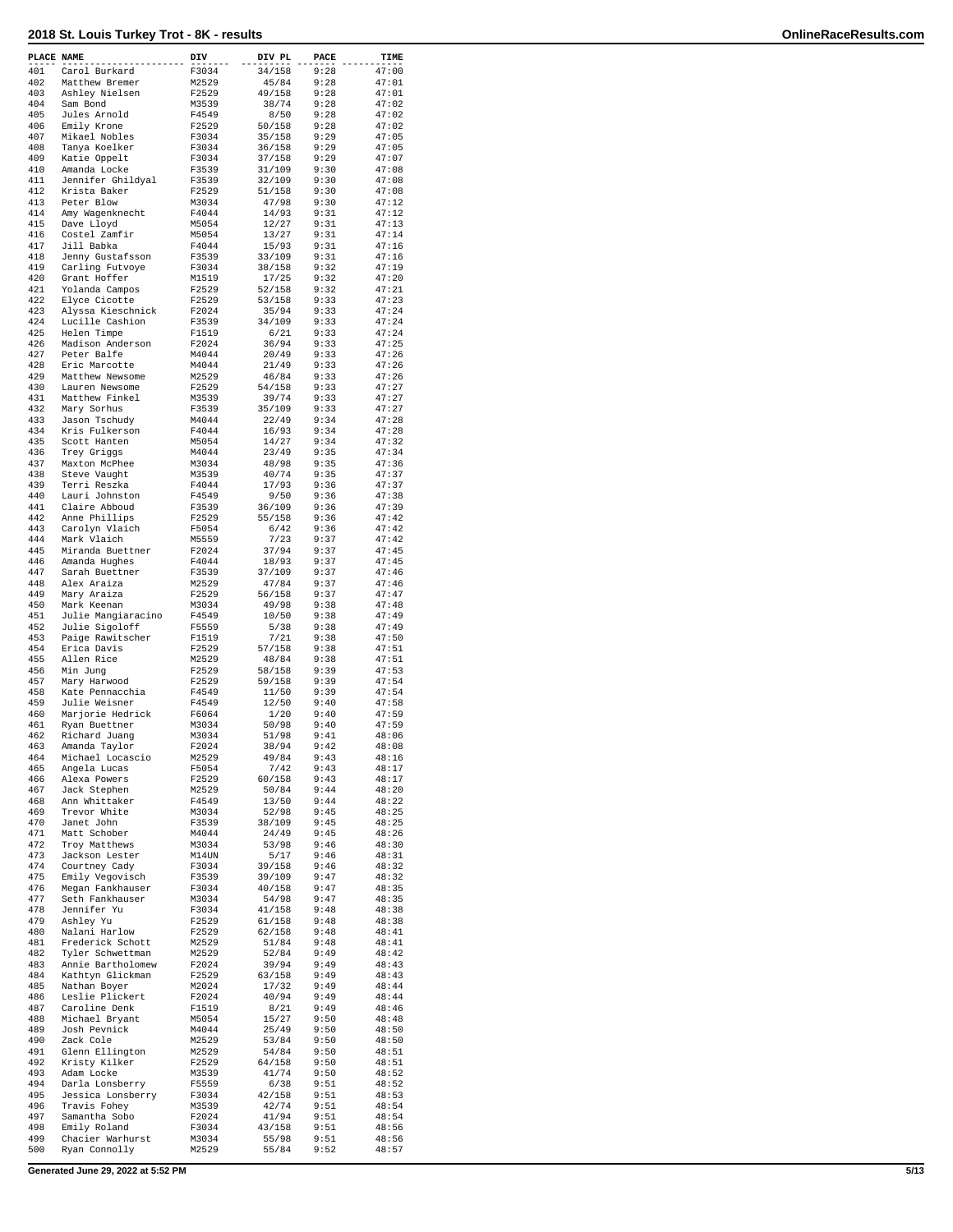| PLACE NAME |                                       | DIV            | DIV PL           | PACE         | TIME           |
|------------|---------------------------------------|----------------|------------------|--------------|----------------|
| 401        | Carol Burkard                         | F3034          | 34/158           | 9:28         | 47:00          |
| 402        | Matthew Bremer                        | M2529          | 45/84            | 9:28         | 47:01          |
| 403<br>404 | Ashley Nielsen<br>Sam Bond            | F2529<br>M3539 | 49/158<br>38/74  | 9:28<br>9:28 | 47:01<br>47:02 |
| 405        | Jules Arnold                          | F4549          | 8/50             | 9:28         | 47:02          |
| 406        | Emily Krone                           | F2529          | 50/158           | 9:28         | 47:02          |
| 407        | Mikael Nobles                         | F3034          | 35/158           | 9:29         | 47:05          |
| 408        | Tanya Koelker                         | F3034          | 36/158           | 9:29         | 47:05          |
| 409        | Katie Oppelt                          | F3034          | 37/158           | 9:29         | 47:07          |
| 410        | Amanda Locke                          | F3539          | 31/109           | 9:30         | 47:08          |
| 411<br>412 | Jennifer Ghildyal<br>Krista Baker     | F3539<br>F2529 | 32/109<br>51/158 | 9:30<br>9:30 | 47:08<br>47:08 |
| 413        | Peter Blow                            | M3034          | 47/98            | 9:30         | 47:12          |
| 414        | Amy Wagenknecht                       | F4044          | 14/93            | 9:31         | 47:12          |
| 415        | Dave Lloyd                            | M5054          | 12/27            | 9:31         | 47:13          |
| 416        | Costel Zamfir                         | M5054          | 13/27            | 9:31         | 47:14          |
| 417        | Jill Babka                            | F4044          | 15/93            | 9:31         | 47:16          |
| 418        | Jenny Gustafsson                      | F3539          | 33/109           | 9:31         | 47:16          |
| 419<br>420 | Carling Futvoye                       | F3034<br>M1519 | 38/158<br>17/25  | 9:32<br>9:32 | 47:19<br>47:20 |
| 421        | Grant Hoffer<br>Yolanda Campos        | F2529          | 52/158           | 9:32         | 47:21          |
| 422        | Elyce Cicotte                         | F2529          | 53/158           | 9:33         | 47:23          |
| 423        | Alyssa Kieschnick                     | F2024          | 35/94            | 9:33         | 47:24          |
| 424        | Lucille Cashion                       | F3539          | 34/109           | 9:33         | 47:24          |
| 425        | Helen Timpe                           | F1519          | 6/21             | 9:33         | 47:24          |
| 426        | Madison Anderson                      | F2024          | 36/94            | 9:33         | 47:25          |
| 427<br>428 | Peter Balfe<br>Eric Marcotte          | M4044<br>M4044 | 20/49<br>21/49   | 9:33<br>9:33 | 47:26<br>47:26 |
| 429        | Matthew Newsome                       | M2529          | 46/84            | 9:33         | 47:26          |
| 430        | Lauren Newsome                        | F2529          | 54/158           | 9:33         | 47:27          |
| 431        | Matthew Finkel                        | M3539          | 39/74            | 9:33         | 47:27          |
| 432        | Mary Sorhus                           | F3539          | 35/109           | 9:33         | 47:27          |
| 433        | Jason Tschudy                         | M4044          | 22/49            | 9:34         | 47:28          |
| 434        | Kris Fulkerson                        | F4044          | 16/93            | 9:34         | 47:28          |
| 435        | Scott Hanten                          | M5054          | 14/27            | 9:34         | 47:32          |
| 436<br>437 | Trey Griggs<br>Maxton McPhee          | M4044<br>M3034 | 23/49<br>48/98   | 9:35<br>9:35 | 47:34<br>47:36 |
| 438        | Steve Vaught                          | M3539          | 40/74            | 9:35         | 47:37          |
| 439        | Terri Reszka                          | F4044          | 17/93            | 9:36         | 47:37          |
| 440        | Lauri Johnston                        | F4549          | 9/50             | 9:36         | 47:38          |
| 441        | Claire Abboud                         | F3539          | 36/109           | 9:36         | 47:39          |
| 442        | Anne Phillips                         | F2529          | 55/158           | 9:36         | 47:42          |
| 443        | Carolyn Vlaich                        | F5054          | 6/42             | 9:36         | 47:42          |
| 444<br>445 | Mark Vlaich<br>Miranda Buettner       | M5559<br>F2024 | 7/23<br>37/94    | 9:37<br>9:37 | 47:42<br>47:45 |
| 446        | Amanda Hughes                         | F4044          | 18/93            | 9:37         | 47:45          |
| 447        | Sarah Buettner                        | F3539          | 37/109           | 9:37         | 47:46          |
| 448        | Alex Araiza                           | M2529          | 47/84            | 9:37         | 47:46          |
| 449        | Mary Araiza                           | F2529          | 56/158           | 9:37         | 47:47          |
| 450        | Mark Keenan                           | M3034          | 49/98            | 9:38         | 47:48          |
| 451        | Julie Mangiaracino                    | F4549          | 10/50            | 9:38         | 47:49          |
| 452<br>453 | Julie Sigoloff<br>Paige Rawitscher    | F5559<br>F1519 | 5/38<br>7/21     | 9:38<br>9:38 | 47:49<br>47:50 |
| 454        | Erica Davis                           | F2529          | 57/158           | 9:38         | 47:51          |
| 455        | Allen Rice                            | M2529          | 48/84            | 9:38         | 47:51          |
| 456        | Min Junq                              | F2529          | 58/158           | 9:39         | 47:53          |
| 457        | Mary Harwood                          | F2529          | 59/158           | 9:39         | 47:54          |
| 458        | Kate Pennacchia                       | F4549          | 11/50            | 9:39         | 47:54          |
| 459        | Julie Weisner                         | F4549          | 12/50            | 9:40         | 47:58          |
| 460<br>461 | Marjorie Hedrick<br>Ryan Buettner     | F6064<br>M3034 | 1/20<br>50/98    | 9:40<br>9:40 | 47:59<br>47:59 |
| 462        | Richard Juang                         | M3034          | 51/98            | 9:41         | 48:06          |
| 463        | Amanda Taylor                         | F2024          | 38/94            | 9:42         | 48:08          |
| 464        | Michael Locascio                      | M2529          | 49/84            | 9:43         | 48:16          |
| 465        | Angela Lucas                          | F5054          | 7/42             | 9:43         | 48:17          |
| 466        | Alexa Powers                          | F2529          | 60/158           | 9:43         | 48:17          |
| 467        | Jack Stephen                          | M2529          | 50/84            | 9:44         | 48:20          |
| 468<br>469 | Ann Whittaker<br>Trevor White         | F4549<br>M3034 | 13/50<br>52/98   | 9:44<br>9:45 | 48:22<br>48:25 |
| 470        | Janet John                            | F3539          | 38/109           | 9:45         | 48:25          |
| 471        | Matt Schober                          | M4044          | 24/49            | 9:45         | 48:26          |
| 472        | Troy Matthews                         | M3034          | 53/98            | 9:46         | 48:30          |
| 473        | Jackson Lester                        | M14UN          | 5/17             | 9:46         | 48:31          |
| 474        | Courtney Cady                         | F3034          | 39/158           | 9:46         | 48:32          |
| 475<br>476 | Emily Vegovisch                       | F3539<br>F3034 | 39/109<br>40/158 | 9:47<br>9:47 | 48:32<br>48:35 |
| 477        | Megan Fankhauser<br>Seth Fankhauser   | M3034          | 54/98            | 9:47         | 48:35          |
| 478        | Jennifer Yu                           | F3034          | 41/158           | 9:48         | 48:38          |
| 479        | Ashley Yu                             | F2529          | 61/158           | 9:48         | 48:38          |
| 480        | Nalani Harlow                         | F2529          | 62/158           | 9:48         | 48:41          |
| 481        | Frederick Schott                      | M2529          | 51/84            | 9:48         | 48:41          |
| 482        | Tyler Schwettman                      | M2529          | 52/84            | 9:49         | 48:42          |
| 483<br>484 | Annie Bartholomew<br>Kathtyn Glickman | F2024<br>F2529 | 39/94<br>63/158  | 9:49<br>9:49 | 48:43<br>48:43 |
| 485        | Nathan Boyer                          | M2024          | 17/32            | 9:49         | 48:44          |
| 486        | Leslie Plickert                       | F2024          | 40/94            | 9:49         | 48:44          |
| 487        | Caroline Denk                         | F1519          | 8/21             | 9:49         | 48:46          |
| 488        | Michael Bryant                        | M5054          | 15/27            | 9:50         | 48:48          |
| 489        | Josh Pevnick                          | M4044          | 25/49            | 9:50         | 48:50          |
| 490        | Zack Cole                             | M2529          | 53/84            | 9:50         | 48:50          |
| 491<br>492 | Glenn Ellington<br>Kristy Kilker      | M2529<br>F2529 | 54/84<br>64/158  | 9:50<br>9:50 | 48:51<br>48:51 |
| 493        | Adam Locke                            | M3539          | 41/74            | 9:50         | 48:52          |
| 494        | Darla Lonsberry                       | F5559          | 6/38             | 9:51         | 48:52          |
| 495        | Jessica Lonsberry                     | F3034          | 42/158           | 9:51         | 48:53          |
| 496        | Travis Fohey                          | M3539          | 42/74            | 9:51         | 48:54          |
| 497        | Samantha Sobo                         | F2024          | 41/94            | 9:51         | 48:54          |
| 498        | Emily Roland                          | F3034          | 43/158           | 9:51         | 48:56          |
| 499<br>500 | Chacier Warhurst<br>Ryan Connolly     | M3034<br>M2529 | 55/98<br>55/84   | 9:51<br>9:52 | 48:56<br>48:57 |
|            |                                       |                |                  |              |                |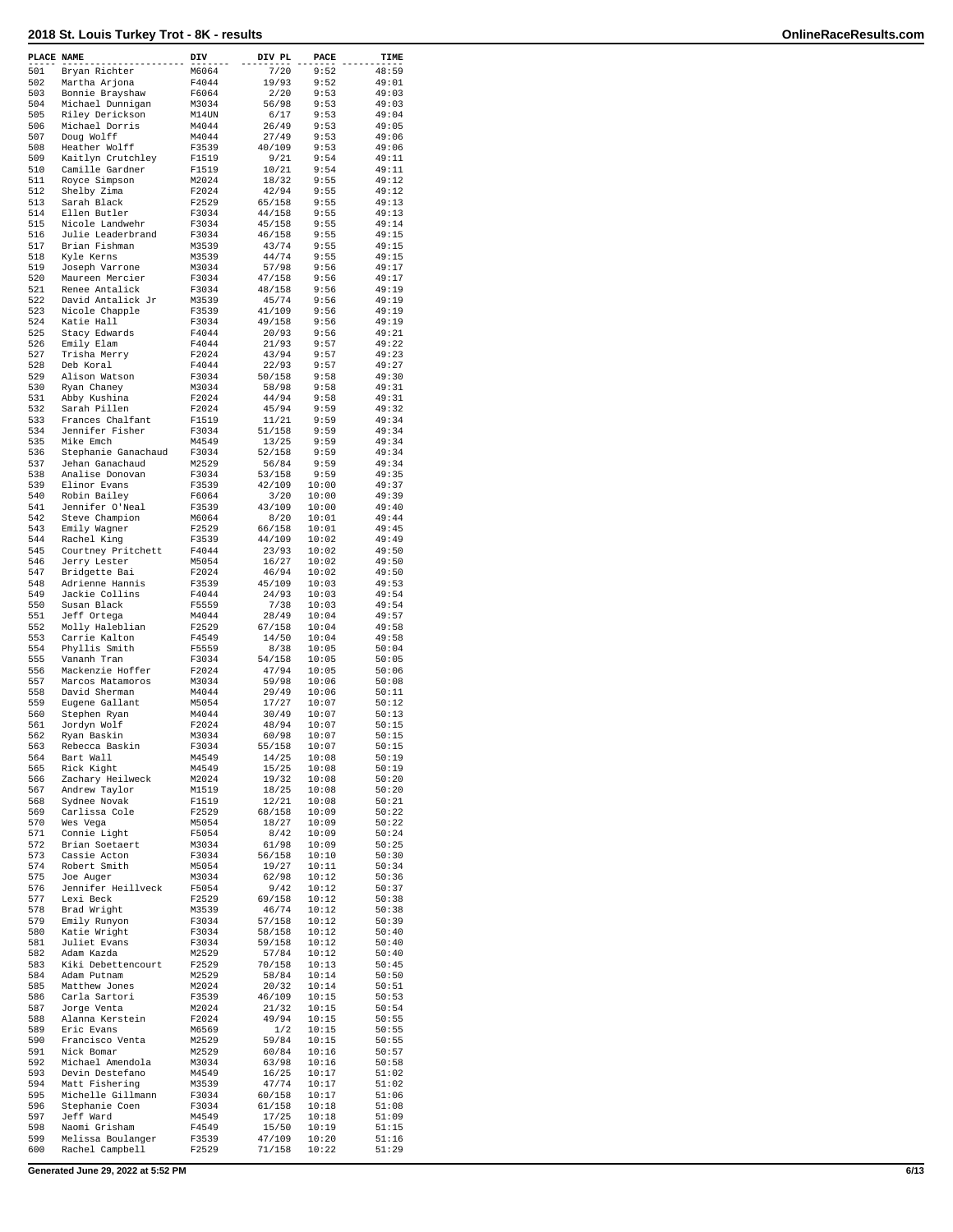| PLACE NAME |                                  | DIV            | DIV PL          | PACE           | TIME           |
|------------|----------------------------------|----------------|-----------------|----------------|----------------|
| 501        | Bryan Richter                    | M6064          | 7/20            | 9:52           | 48:59          |
| 502        | Martha Arjona                    | F4044          | 19/93           | 9:52           | 49:01          |
| 503        | Bonnie Brayshaw                  | F6064          | 2/20            | 9:53           | 49:03          |
| 504        | Michael Dunnigan                 | M3034          | 56/98           | 9:53           | 49:03          |
| 505<br>506 | Riley Derickson                  | M14UN          | 6/17            | 9:53<br>9:53   | 49:04          |
| 507        | Michael Dorris<br>Doug Wolff     | M4044<br>M4044 | 26/49<br>27/49  | 9:53           | 49:05<br>49:06 |
| 508        | Heather Wolff                    | F3539          | 40/109          | 9:53           | 49:06          |
| 509        | Kaitlyn Crutchley                | F1519          | 9/21            | 9:54           | 49:11          |
| 510        | Camille Gardner                  | F1519          | 10/21           | 9:54           | 49:11          |
| 511        | Royce Simpson                    | M2024          | 18/32           | 9:55           | 49:12          |
| 512        | Shelby Zima                      | F2024          | 42/94           | 9:55           | 49:12          |
| 513        | Sarah Black                      | F2529          | 65/158          | 9:55           | 49:13          |
| 514        | Ellen Butler                     | F3034          | 44/158          | 9:55           | 49:13          |
| 515        | Nicole Landwehr                  | F3034          | 45/158          | 9:55           | 49:14          |
| 516        | Julie Leaderbrand                | F3034          | 46/158          | 9:55           | 49:15          |
| 517<br>518 | Brian Fishman<br>Kyle Kerns      | M3539<br>M3539 | 43/74<br>44/74  | 9:55<br>9:55   | 49:15<br>49:15 |
| 519        | Joseph Varrone                   | M3034          | 57/98           | 9:56           | 49:17          |
| 520        | Maureen Mercier                  | F3034          | 47/158          | 9:56           | 49:17          |
| 521        | Renee Antalick                   | F3034          | 48/158          | 9:56           | 49:19          |
| 522        | David Antalick Jr                | M3539          | 45/74           | 9:56           | 49:19          |
| 523        | Nicole Chapple                   | F3539          | 41/109          | 9:56           | 49:19          |
| 524        | Katie Hall                       | F3034          | 49/158          | 9:56           | 49:19          |
| 525        | Stacy Edwards                    | F4044          | 20/93           | 9:56           | 49:21          |
| 526        | Emily Elam                       | F4044          | 21/93           | 9:57           | 49:22          |
| 527        | Trisha Merry                     | F2024          | 43/94           | 9:57           | 49:23          |
| 528        | Deb Koral                        | F4044          | 22/93           | 9:57           | 49:27          |
| 529<br>530 | Alison Watson                    | F3034          | 50/158<br>58/98 | 9:58<br>9:58   | 49:30<br>49:31 |
| 531        | Ryan Chaney<br>Abby Kushina      | M3034<br>F2024 | 44/94           | 9:58           | 49:31          |
| 532        | Sarah Pillen                     | F2024          | 45/94           | 9:59           | 49:32          |
| 533        | Frances Chalfant                 | F1519          | 11/21           | 9:59           | 49:34          |
| 534        | Jennifer Fisher                  | F3034          | 51/158          | 9:59           | 49:34          |
| 535        | Mike Emch                        | M4549          | 13/25           | 9:59           | 49:34          |
| 536        | Stephanie Ganachaud              | F3034          | 52/158          | 9:59           | 49:34          |
| 537        | Jehan Ganachaud                  | M2529          | 56/84           | 9:59           | 49:34          |
| 538        | Analise Donovan                  | F3034          | 53/158          | 9:59           | 49:35          |
| 539        | Elinor Evans                     | F3539          | 42/109          | 10:00          | 49:37          |
| 540        | Robin Bailey                     | F6064          | 3/20            | 10:00          | 49:39          |
| 541        | Jennifer O'Neal                  | F3539          | 43/109          | 10:00          | 49:40          |
| 542        | Steve Champion                   | M6064          | 8/20            | 10:01          | 49:44          |
| 543        | Emily Wagner                     | F2529          | 66/158          | 10:01          | 49:45          |
| 544        | Rachel King                      | F3539          | 44/109          | 10:02          | 49:49          |
| 545        | Courtney Pritchett               | F4044          | 23/93           | 10:02          | 49:50          |
| 546<br>547 | Jerry Lester                     | M5054          | 16/27           | 10:02          | 49:50          |
| 548        | Bridgette Bai<br>Adrienne Hannis | F2024<br>F3539 | 46/94<br>45/109 | 10:02<br>10:03 | 49:50<br>49:53 |
| 549        | Jackie Collins                   | F4044          | 24/93           | 10:03          | 49:54          |
| 550        | Susan Black                      | F5559          | 7/38            | 10:03          | 49:54          |
| 551        | Jeff Ortega                      | M4044          | 28/49           | 10:04          | 49:57          |
| 552        | Molly Haleblian                  | F2529          | 67/158          | 10:04          | 49:58          |
| 553        | Carrie Kalton                    | F4549          | 14/50           | 10:04          | 49:58          |
| 554        | Phyllis Smith                    | F5559          | 8/38            | 10:05          | 50:04          |
| 555        | Vananh Tran                      | F3034          | 54/158          | 10:05          | 50:05          |
| 556        | Mackenzie Hoffer                 | F2024          | 47/94           | 10:05          | 50:06          |
| 557        | Marcos Matamoros                 | M3034          | 59/98           | 10:06          | 50:08          |
| 558        | David Sherman                    | M4044          | 29/49           | 10:06          | 50:11          |
| 559        | Eugene Gallant                   | M5054          | 17/27           | 10:07          | 50:12          |
| 560        | Stephen Ryan                     | M4044          | 30/49           | 10:07<br>10:07 | 50:13          |
| 561<br>562 | Jordyn Wolf<br>Ryan Baskin       | F2024<br>M3034 | 48/94<br>60/98  | 10:07          | 50:15<br>50:15 |
| 563        | Rebecca Baskin                   | F3034          | 55/158          | 10:07          | 50:15          |
| 564        | Bart Wall                        | M4549          | 14/25           | 10:08          | 50:19          |
| 565        | Rick Kight                       | M4549          | 15/25           | 10:08          | 50:19          |
| 566        | Zachary Heilweck                 | M2024          | 19/32           | 10:08          | 50:20          |
| 567        | Andrew Taylor                    | M1519          | 18/25           | 10:08          | 50:20          |
| 568        | Sydnee Novak                     | F1519          | 12/21           | 10:08          | 50:21          |
| 569        | Carlissa Cole                    | F2529          | 68/158          | 10:09          | 50:22          |
| 570        | Wes Vega                         | M5054          | 18/27           | 10:09          | 50:22          |
| 571        | Connie Light                     | F5054          | 8/42            | 10:09          | 50:24          |
| 572        | Brian Soetaert                   | M3034          | 61/98           | 10:09          | 50:25          |
| 573<br>574 | Cassie Acton<br>Robert Smith     | F3034<br>M5054 | 56/158<br>19/27 | 10:10<br>10:11 | 50:30<br>50:34 |
| 575        | Joe Auger                        | M3034          | 62/98           | 10:12          | 50:36          |
| 576        | Jennifer Heillveck               | F5054          | 9/42            | 10:12          | 50:37          |
| 577        | Lexi Beck                        | F2529          | 69/158          | 10:12          | 50:38          |
| 578        | Brad Wright                      | M3539          | 46/74           | 10:12          | 50:38          |
| 579        | Emily Runyon                     | F3034          | 57/158          | 10:12          | 50:39          |
| 580        | Katie Wright                     | F3034          | 58/158          | 10:12          | 50:40          |
| 581        | Juliet Evans                     | F3034          | 59/158          | 10:12          | 50:40          |
| 582        | Adam Kazda                       | M2529          | 57/84           | 10:12          | 50:40          |
| 583        | Kiki Debettencourt               | F2529          | 70/158          | 10:13          | 50:45          |
| 584        | Adam Putnam                      | M2529          | 58/84           | 10:14          | 50:50          |
| 585        | Matthew Jones                    | M2024          | 20/32           | 10:14          | 50:51          |
| 586        | Carla Sartori                    | F3539          | 46/109          | 10:15          | 50:53          |
| 587        | Jorge Venta                      | M2024          | 21/32           | 10:15          | 50:54          |
| 588<br>589 | Alanna Kerstein<br>Eric Evans    | F2024          | 49/94           | 10:15          | 50:55          |
| 590        | Francisco Venta                  | M6569<br>M2529 | 1/2<br>59/84    | 10:15<br>10:15 | 50:55<br>50:55 |
| 591        | Nick Bomar                       | M2529          | 60/84           | 10:16          | 50:57          |
| 592        | Michael Amendola                 | M3034          | 63/98           | 10:16          | 50:58          |
| 593        | Devin Destefano                  | M4549          | 16/25           | 10:17          | 51:02          |
| 594        | Matt Fishering                   | M3539          | 47/74           | 10:17          | 51:02          |
| 595        | Michelle Gillmann                | F3034          | 60/158          | 10:17          | 51:06          |
| 596        | Stephanie Coen                   | F3034          | 61/158          | 10:18          | 51:08          |
| 597        | Jeff Ward                        | M4549          | 17/25           | 10:18          | 51:09          |
| 598        | Naomi Grisham                    | F4549          | 15/50           | 10:19          | 51:15          |
| 599        | Melissa Boulanger                | F3539          | 47/109          | 10:20          | 51:16          |
| 600        | Rachel Campbell                  | F2529          | 71/158          | 10:22          | 51:29          |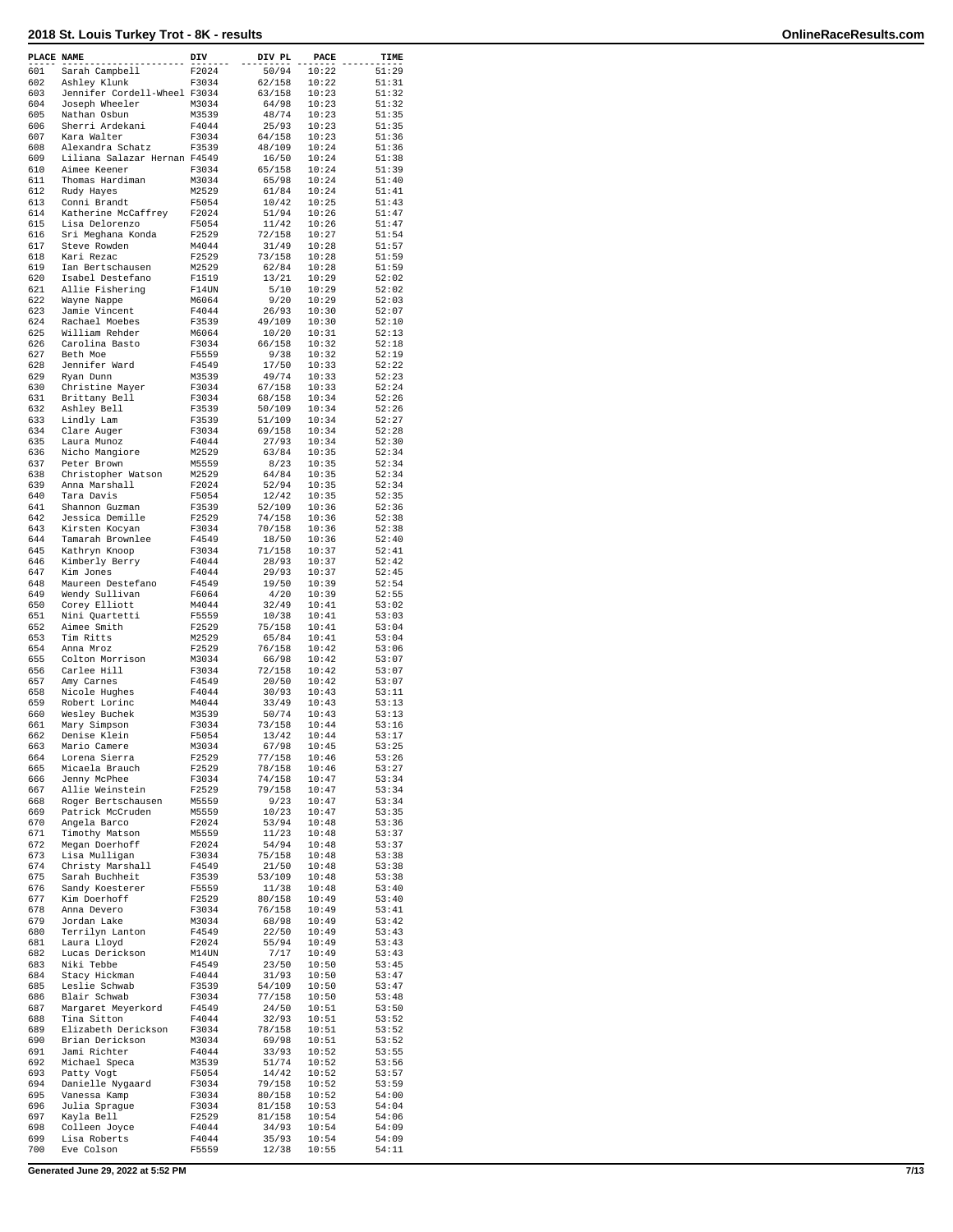| PLACE NAME |                                                  | DIV            | DIV PL           | PACE           | TIME           |
|------------|--------------------------------------------------|----------------|------------------|----------------|----------------|
| 601        | Sarah Campbell                                   | F2024          | 50/94            | 10:22          | 51:29          |
| 602        | Ashley Klunk                                     | F3034          | 62/158           | 10:22          | 51:31          |
| 603<br>604 | Jennifer Cordell-Wheel F3034<br>Joseph Wheeler   | M3034          | 63/158<br>64/98  | 10:23<br>10:23 | 51:32<br>51:32 |
| 605        | Nathan Osbun                                     | M3539          | 48/74            | 10:23          | 51:35          |
| 606        | Sherri Ardekani                                  | F4044          | 25/93            | 10:23          | 51:35          |
| 607        | Kara Walter                                      | F3034          | 64/158           | 10:23          | 51:36          |
| 608<br>609 | Alexandra Schatz<br>Liliana Salazar Hernan F4549 | F3539          | 48/109           | 10:24          | 51:36          |
| 610        | Aimee Keener                                     | F3034          | 16/50<br>65/158  | 10:24<br>10:24 | 51:38<br>51:39 |
| 611        | Thomas Hardiman                                  | M3034          | 65/98            | 10:24          | 51:40          |
| 612        | Rudy Hayes                                       | M2529          | 61/84            | 10:24          | 51:41          |
| 613        | Conni Brandt                                     | F5054          | 10/42            | 10:25          | 51:43          |
| 614<br>615 | Katherine McCaffrey<br>Lisa Delorenzo            | F2024<br>F5054 | 51/94<br>11/42   | 10:26<br>10:26 | 51:47<br>51:47 |
| 616        | Sri Meghana Konda                                | F2529          | 72/158           | 10:27          | 51:54          |
| 617        | Steve Rowden                                     | M4044          | 31/49            | 10:28          | 51:57          |
| 618        | Kari Rezac                                       | F2529          | 73/158           | 10:28          | 51:59          |
| 619        | Ian Bertschausen                                 | M2529          | 62/84            | 10:28          | 51:59          |
| 620<br>621 | Isabel Destefano<br>Allie Fishering              | F1519<br>F14UN | 13/21<br>5/10    | 10:29<br>10:29 | 52:02<br>52:02 |
| 622        | Wayne Nappe                                      | M6064          | 9/20             | 10:29          | 52:03          |
| 623        | Jamie Vincent                                    | F4044          | 26/93            | 10:30          | 52:07          |
| 624        | Rachael Moebes                                   | F3539          | 49/109           | 10:30          | 52:10          |
| 625<br>626 | William Rehder<br>Carolina Basto                 | M6064<br>F3034 | 10/20<br>66/158  | 10:31<br>10:32 | 52:13<br>52:18 |
| 627        | Beth Moe                                         | F5559          | 9/38             | 10:32          | 52:19          |
| 628        | Jennifer Ward                                    | F4549          | 17/50            | 10:33          | 52:22          |
| 629        | Ryan Dunn                                        | M3539          | 49/74            | 10:33          | 52:23          |
| 630<br>631 | Christine Mayer<br>Brittany Bell                 | F3034<br>F3034 | 67/158<br>68/158 | 10:33<br>10:34 | 52:24<br>52:26 |
| 632        | Ashley Bell                                      | F3539          | 50/109           | 10:34          | 52:26          |
| 633        | Lindly Lam                                       | F3539          | 51/109           | 10:34          | 52:27          |
| 634        | Clare Auger                                      | F3034          | 69/158           | 10:34          | 52:28          |
| 635        | Laura Munoz                                      | F4044          | 27/93            | 10:34          | 52:30          |
| 636<br>637 | Nicho Mangiore<br>Peter Brown                    | M2529<br>M5559 | 63/84<br>8/23    | 10:35<br>10:35 | 52:34<br>52:34 |
| 638        | Christopher Watson                               | M2529          | 64/84            | 10:35          | 52:34          |
| 639        | Anna Marshall                                    | F2024          | 52/94            | 10:35          | 52:34          |
| 640        | Tara Davis                                       | F5054          | 12/42            | 10:35          | 52:35          |
| 641        | Shannon Guzman                                   | F3539          | 52/109           | 10:36          | 52:36          |
| 642<br>643 | Jessica Demille<br>Kirsten Kocyan                | F2529<br>F3034 | 74/158<br>70/158 | 10:36<br>10:36 | 52:38<br>52:38 |
| 644        | Tamarah Brownlee                                 | F4549          | 18/50            | 10:36          | 52:40          |
| 645        | Kathryn Knoop                                    | F3034          | 71/158           | 10:37          | 52:41          |
| 646        | Kimberly Berry                                   | F4044          | 28/93            | 10:37          | 52:42          |
| 647<br>648 | Kim Jones<br>Maureen Destefano                   | F4044<br>F4549 | 29/93<br>19/50   | 10:37<br>10:39 | 52:45<br>52:54 |
| 649        | Wendy Sullivan                                   | F6064          | 4/20             | 10:39          | 52:55          |
| 650        | Corey Elliott                                    | M4044          | 32/49            | 10:41          | 53:02          |
| 651        | Nini Quartetti                                   | F5559          | 10/38            | 10:41          | 53:03          |
| 652        | Aimee Smith                                      | F2529          | 75/158           | 10:41          | 53:04          |
| 653<br>654 | Tim Ritts<br>Anna Mroz                           | M2529<br>F2529 | 65/84<br>76/158  | 10:41<br>10:42 | 53:04<br>53:06 |
| 655        | Colton Morrison                                  | M3034          | 66/98            | 10:42          | 53:07          |
| 656        | Carlee Hill                                      | F3034          | 72/158           | 10:42          | 53:07          |
| 657        | Amy Carnes                                       | F4549          | 20/50            | 10:42          | 53:07          |
| 658<br>659 | Nicole Hughes<br>Robert Lorinc                   | F4044<br>M4044 | 30/93<br>33/49   | 10:43<br>10:43 | 53:11<br>53:13 |
| 660        | Wesley Buchek                                    | M3539          | 50/74            | 10:43          | 53:13          |
| 661        | Mary Simpson                                     | F3034          | 73/158           | 10:44          | 53:16          |
| 662        | Denise Klein                                     | F5054          | 13/42            | 10:44          | 53:17          |
| 663<br>664 | Mario Camere<br>Lorena Sierra                    | M3034<br>F2529 | 67/98<br>77/158  | 10:45<br>10:46 | 53:25<br>53:26 |
| 665        | Micaela Brauch                                   | F2529          | 78/158           | 10:46          | 53:27          |
| 666        | Jenny McPhee                                     | F3034          | 74/158           | 10:47          | 53:34          |
| 667        | Allie Weinstein                                  | F2529          | 79/158           | 10:47          | 53:34          |
| 668        | Roger Bertschausen                               | M5559<br>M5559 | 9/23             | 10:47          | 53:34          |
| 669<br>670 | Patrick McCruden<br>Angela Barco                 | F2024          | 10/23<br>53/94   | 10:47<br>10:48 | 53:35<br>53:36 |
| 671        | Timothy Matson                                   | M5559          | 11/23            | 10:48          | 53:37          |
| 672        | Megan Doerhoff                                   | F2024          | 54/94            | 10:48          | 53:37          |
| 673        | Lisa Mulligan                                    | F3034          | 75/158           | 10:48          | 53:38          |
| 674<br>675 | Christy Marshall<br>Sarah Buchheit               | F4549<br>F3539 | 21/50<br>53/109  | 10:48<br>10:48 | 53:38<br>53:38 |
| 676        | Sandy Koesterer                                  | F5559          | 11/38            | 10:48          | 53:40          |
| 677        | Kim Doerhoff                                     | F2529          | 80/158           | 10:49          | 53:40          |
| 678        | Anna Devero                                      | F3034          | 76/158           | 10:49          | 53:41          |
| 679<br>680 | Jordan Lake<br>Terrilyn Lanton                   | M3034<br>F4549 | 68/98<br>22/50   | 10:49<br>10:49 | 53:42<br>53:43 |
| 681        | Laura Lloyd                                      | F2024          | 55/94            | 10:49          | 53:43          |
| 682        | Lucas Derickson                                  | M14UN          | 7/17             | 10:49          | 53:43          |
| 683        | Niki Tebbe                                       | F4549          | 23/50            | 10:50          | 53:45          |
| 684        | Stacy Hickman                                    | F4044          | 31/93            | 10:50          | 53:47          |
| 685<br>686 | Leslie Schwab<br>Blair Schwab                    | F3539<br>F3034 | 54/109<br>77/158 | 10:50<br>10:50 | 53:47<br>53:48 |
| 687        | Margaret Meyerkord                               | F4549          | 24/50            | 10:51          | 53:50          |
| 688        | Tina Sitton                                      | F4044          | 32/93            | 10:51          | 53:52          |
| 689        | Elizabeth Derickson                              | F3034          | 78/158           | 10:51          | 53:52          |
| 690        | Brian Derickson                                  | M3034          | 69/98            | 10:51          | 53:52          |
| 691<br>692 | Jami Richter<br>Michael Speca                    | F4044<br>M3539 | 33/93<br>51/74   | 10:52<br>10:52 | 53:55<br>53:56 |
| 693        | Patty Vogt                                       | F5054          | 14/42            | 10:52          | 53:57          |
| 694        | Danielle Nygaard                                 | F3034          | 79/158           | 10:52          | 53:59          |
| 695        | Vanessa Kamp                                     | F3034          | 80/158           | 10:52          | 54:00          |
| 696<br>697 | Julia Sprague<br>Kayla Bell                      | F3034<br>F2529 | 81/158<br>81/158 | 10:53<br>10:54 | 54:04<br>54:06 |
| 698        | Colleen Joyce                                    | F4044          | 34/93            | 10:54          | 54:09          |
| 699        | Lisa Roberts                                     | F4044          | 35/93            | 10:54          | 54:09          |
| 700        | Eve Colson                                       | F5559          | 12/38            | 10:55          | 54:11          |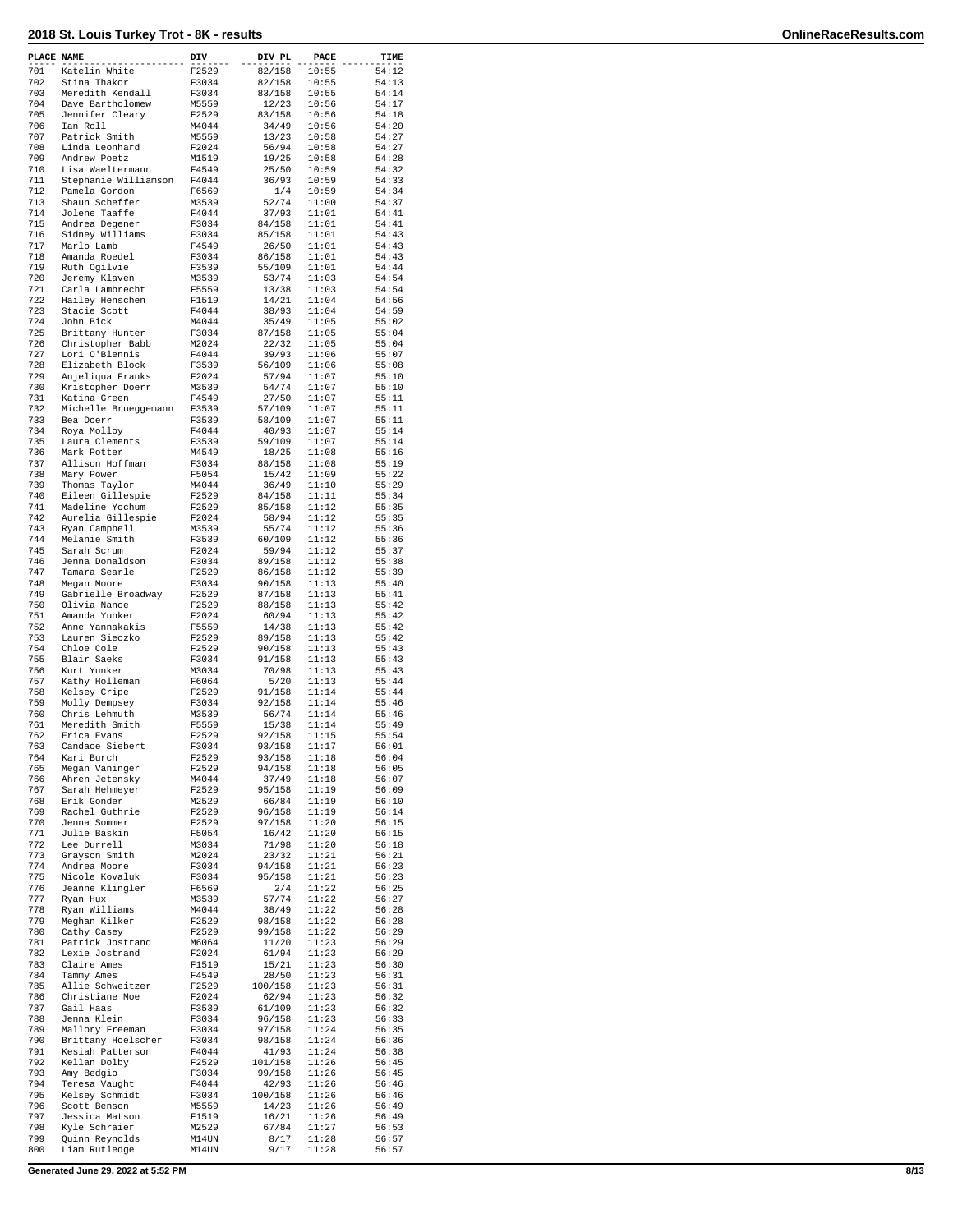| PLACE NAME |                                      | DIV            | DIV PL            | PACE           | TIME           |
|------------|--------------------------------------|----------------|-------------------|----------------|----------------|
| 701        | Katelin White                        | F2529          | 82/158            | 10:55          | 54:12          |
| 702<br>703 | Stina Thakor<br>Meredith Kendall     | F3034<br>F3034 | 82/158<br>83/158  | 10:55<br>10:55 | 54:13<br>54:14 |
| 704        | Dave Bartholomew                     | M5559          | 12/23             | 10:56          | 54:17          |
| 705        | Jennifer Cleary                      | F2529          | 83/158            | 10:56          | 54:18          |
| 706        | Ian Roll                             | M4044          | 34/49             | 10:56          | 54:20          |
| 707        | Patrick Smith                        | M5559          | 13/23             | 10:58          | 54:27          |
| 708<br>709 | Linda Leonhard<br>Andrew Poetz       | F2024<br>M1519 | 56/94<br>19/25    | 10:58<br>10:58 | 54:27<br>54:28 |
| 710        | Lisa Waeltermann                     | F4549          | 25/50             | 10:59          | 54:32          |
| 711        | Stephanie Williamson                 | F4044          | 36/93             | 10:59          | 54:33          |
| 712        | Pamela Gordon                        | F6569          | 1/4               | 10:59          | 54:34          |
| 713<br>714 | Shaun Scheffer                       | M3539          | 52/74             | 11:00          | 54:37<br>54:41 |
| 715        | Jolene Taaffe<br>Andrea Degener      | F4044<br>F3034 | 37/93<br>84/158   | 11:01<br>11:01 | 54:41          |
| 716        | Sidney Williams                      | F3034          | 85/158            | 11:01          | 54:43          |
| 717        | Marlo Lamb                           | F4549          | 26/50             | 11:01          | 54:43          |
| 718<br>719 | Amanda Roedel                        | F3034          | 86/158            | 11:01          | 54:43          |
| 720        | Ruth Ogilvie<br>Jeremy Klaven        | F3539<br>M3539 | 55/109<br>53/74   | 11:01<br>11:03 | 54:44<br>54:54 |
| 721        | Carla Lambrecht                      | F5559          | 13/38             | 11:03          | 54:54          |
| 722        | Hailey Henschen                      | F1519          | 14/21             | 11:04          | 54:56          |
| 723        | Stacie Scott                         | F4044          | 38/93             | 11:04          | 54:59          |
| 724<br>725 | John Bick<br>Brittany Hunter         | M4044<br>F3034 | 35/49<br>87/158   | 11:05<br>11:05 | 55:02<br>55:04 |
| 726        | Christopher Babb                     | M2024          | 22/32             | 11:05          | 55:04          |
| 727        | Lori O'Blennis                       | F4044          | 39/93             | 11:06          | 55:07          |
| 728        | Elizabeth Block                      | F3539          | 56/109            | 11:06          | 55:08          |
| 729<br>730 | Anjeliqua Franks<br>Kristopher Doerr | F2024<br>M3539 | 57/94<br>54/74    | 11:07<br>11:07 | 55:10<br>55:10 |
| 731        | Katina Green                         | F4549          | 27/50             | 11:07          | 55:11          |
| 732        | Michelle Brueggemann                 | F3539          | 57/109            | 11:07          | 55:11          |
| 733        | Bea Doerr                            | F3539          | 58/109            | 11:07          | 55:11          |
| 734        | Roya Molloy                          | F4044          | 40/93             | 11:07          | 55:14          |
| 735<br>736 | Laura Clements<br>Mark Potter        | F3539<br>M4549 | 59/109<br>18/25   | 11:07<br>11:08 | 55:14<br>55:16 |
| 737        | Allison Hoffman                      | F3034          | 88/158            | 11:08          | 55:19          |
| 738        | Mary Power                           | F5054          | 15/42             | 11:09          | 55:22          |
| 739        | Thomas Taylor                        | M4044          | 36/49             | 11:10          | 55:29          |
| 740<br>741 | Eileen Gillespie<br>Madeline Yochum  | F2529<br>F2529 | 84/158<br>85/158  | 11:11<br>11:12 | 55:34<br>55:35 |
| 742        | Aurelia Gillespie                    | F2024          | 58/94             | 11:12          | 55:35          |
| 743        | Ryan Campbell                        | M3539          | 55/74             | 11:12          | 55:36          |
| 744        | Melanie Smith                        | F3539          | 60/109            | 11:12          | 55:36          |
| 745<br>746 | Sarah Scrum<br>Jenna Donaldson       | F2024<br>F3034 | 59/94<br>89/158   | 11:12<br>11:12 | 55:37<br>55:38 |
| 747        | Tamara Searle                        | F2529          | 86/158            | 11:12          | 55:39          |
| 748        | Megan Moore                          | F3034          | 90/158            | 11:13          | 55:40          |
| 749        | Gabrielle Broadway                   | F2529          | 87/158            | 11:13          | 55:41          |
| 750<br>751 | Olivia Nance<br>Amanda Yunker        | F2529<br>F2024 | 88/158<br>60/94   | 11:13<br>11:13 | 55:42<br>55:42 |
| 752        | Anne Yannakakis                      | F5559          | 14/38             | 11:13          | 55:42          |
| 753        | Lauren Sieczko                       | F2529          | 89/158            | 11:13          | 55:42          |
| 754        | Chloe Cole                           | F2529          | 90/158            | 11:13          | 55:43          |
| 755<br>756 | Blair Saeks                          | F3034          | 91/158<br>70/98   | 11:13<br>11:13 | 55:43          |
| 757        | Kurt Yunker<br>Kathy Holleman        | M3034<br>F6064 | 5/20              | 11:13          | 55:43<br>55:44 |
| 758        | Kelsey Cripe                         | F2529          | 91/158            | 11:14          | 55:44          |
| 759        | Molly Dempsey                        | F3034          | 92/158            | 11:14          | 55:46          |
| 760<br>761 | Chris Lehmuth<br>Meredith Smith      | M3539<br>F5559 | 56/74<br>15/38    | 11:14<br>11:14 | 55:46<br>55:49 |
| 762        | Erica Evans                          | F2529          | 92/158            | 11:15          | 55:54          |
| 763        | Candace Siebert                      | F3034          | 93/158            | 11:17          | 56:01          |
| 764        | Kari Burch                           | F2529          | 93/158            | 11:18          | 56:04          |
| 765<br>766 | Megan Vaninger                       | F2529          | 94/158            | 11:18          | 56:05<br>56:07 |
| 767        | Ahren Jetensky<br>Sarah Hehmeyer     | M4044<br>F2529 | 37/49<br>95/158   | 11:18<br>11:19 | 56:09          |
| 768        | Erik Gonder                          | M2529          | 66/84             | 11:19          | 56:10          |
| 769        | Rachel Guthrie                       | F2529          | 96/158            | 11:19          | 56:14          |
| 770        | Jenna Sommer                         | F2529          | 97/158            | 11:20          | 56:15          |
| 771<br>772 | Julie Baskin<br>Lee Durrell          | F5054<br>M3034 | 16/42<br>71/98    | 11:20<br>11:20 | 56:15<br>56:18 |
| 773        | Grayson Smith                        | M2024          | 23/32             | 11:21          | 56:21          |
| 774        | Andrea Moore                         | F3034          | 94/158            | 11:21          | 56:23          |
| 775        | Nicole Kovaluk                       | F3034          | 95/158            | 11:21          | 56:23          |
| 776<br>777 | Jeanne Klingler<br>Ryan Hux          | F6569<br>M3539 | 2/4<br>57/74      | 11:22<br>11:22 | 56:25<br>56:27 |
| 778        | Ryan Williams                        | M4044          | 38/49             | 11:22          | 56:28          |
| 779        | Meghan Kilker                        | F2529          | 98/158            | 11:22          | 56:28          |
| 780        | Cathy Casey                          | F2529          | 99/158            | 11:22          | 56:29          |
| 781<br>782 | Patrick Jostrand<br>Lexie Jostrand   | M6064<br>F2024 | 11/20<br>61/94    | 11:23<br>11:23 | 56:29<br>56:29 |
| 783        | Claire Ames                          | F1519          | 15/21             | 11:23          | 56:30          |
| 784        | Tammy Ames                           | F4549          | 28/50             | 11:23          | 56:31          |
| 785        | Allie Schweitzer                     | F2529          | 100/158           | 11:23          | 56:31          |
| 786<br>787 | Christiane Moe<br>Gail Haas          | F2024          | 62/94<br>61/109   | 11:23<br>11:23 | 56:32          |
| 788        | Jenna Klein                          | F3539<br>F3034 | 96/158            | 11:23          | 56:32<br>56:33 |
| 789        | Mallory Freeman                      | F3034          | 97/158            | 11:24          | 56:35          |
| 790        | Brittany Hoelscher                   | F3034          | 98/158            | 11:24          | 56:36          |
| 791        | Kesiah Patterson                     | F4044          | 41/93             | 11:24          | 56:38          |
| 792<br>793 | Kellan Dolby<br>Amy Bedgio           | F2529<br>F3034 | 101/158<br>99/158 | 11:26<br>11:26 | 56:45<br>56:45 |
| 794        | Teresa Vaught                        | F4044          | 42/93             | 11:26          | 56:46          |
| 795        | Kelsey Schmidt                       | F3034          | 100/158           | 11:26          | 56:46          |
| 796        | Scott Benson                         | M5559          | 14/23             | 11:26          | 56:49          |
| 797<br>798 | Jessica Matson<br>Kyle Schraier      | F1519<br>M2529 | 16/21<br>67/84    | 11:26<br>11:27 | 56:49<br>56:53 |
| 799        | Quinn Reynolds                       | M14UN          | 8/17              | 11:28          | 56:57          |
| 800        | Liam Rutledge                        | M14UN          | 9/17              | 11:28          | 56:57          |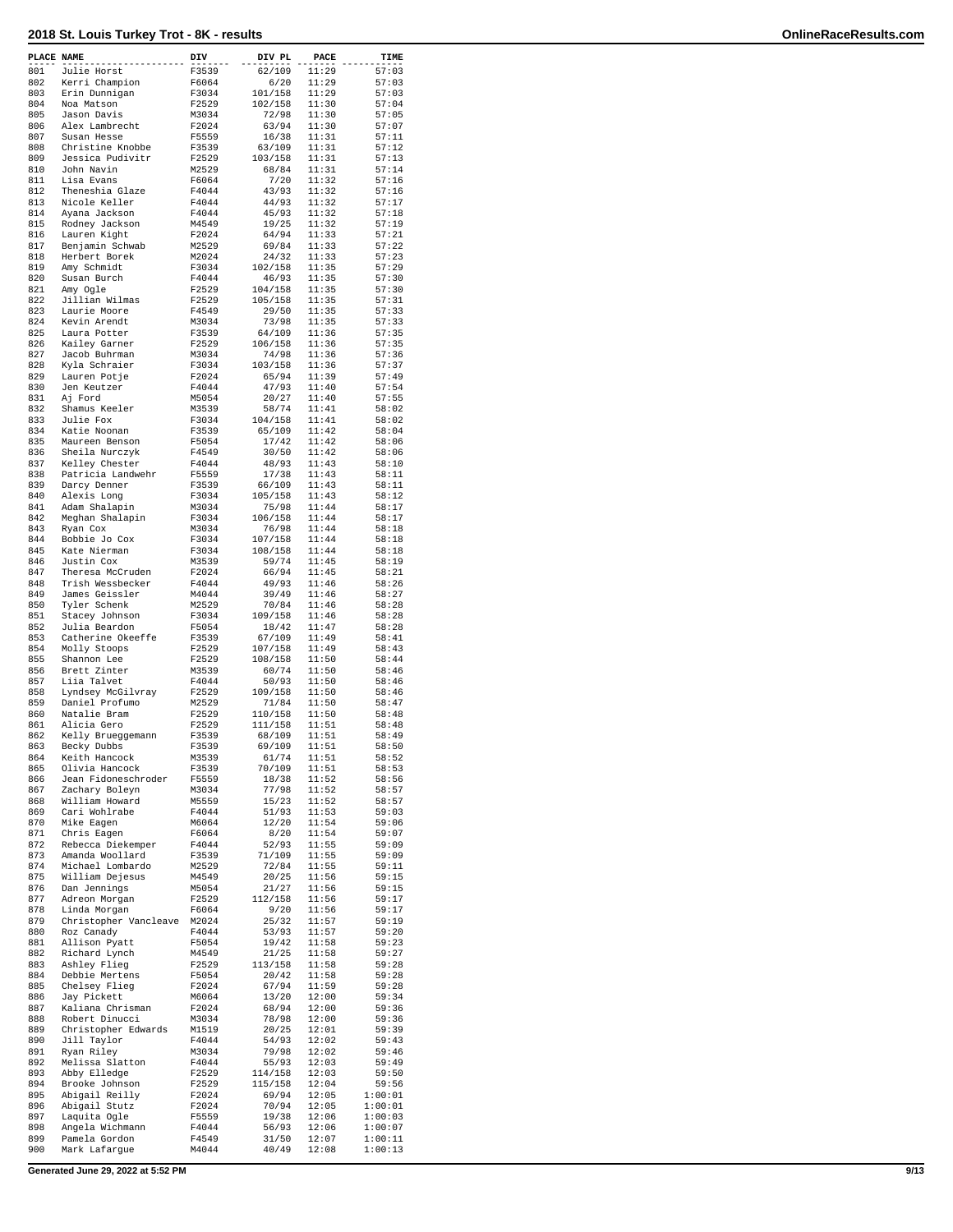| PLACE NAME |                                      | DIV            | DIV PL             | PACE           | TIME               |
|------------|--------------------------------------|----------------|--------------------|----------------|--------------------|
| 801        | Julie Horst                          | F3539          | 62/109             | 11:29          | 57:03              |
| 802        | Kerri Champion                       | F6064          | 6/20               | 11:29          | 57:03              |
| 803<br>804 | Erin Dunnigan<br>Noa Matson          | F3034<br>F2529 | 101/158<br>102/158 | 11:29<br>11:30 | 57:03<br>57:04     |
| 805        | Jason Davis                          | M3034          | 72/98              | 11:30          | 57:05              |
| 806        | Alex Lambrecht                       | F2024          | 63/94              | 11:30          | 57:07              |
| 807        | Susan Hesse                          | F5559          | 16/38              | 11:31          | 57:11              |
| 808        | Christine Knobbe                     | F3539          | 63/109             | 11:31          | 57:12              |
| 809        | Jessica Pudivitr                     | F2529          | 103/158            | 11:31          | 57:13              |
| 810        | John Navin                           | M2529          | 68/84              | 11:31          | 57:14              |
| 811<br>812 | Lisa Evans<br>Theneshia Glaze        | F6064<br>F4044 | 7/20<br>43/93      | 11:32<br>11:32 | 57:16<br>57:16     |
| 813        | Nicole Keller                        | F4044          | 44/93              | 11:32          | 57:17              |
| 814        | Ayana Jackson                        | F4044          | 45/93              | 11:32          | 57:18              |
| 815        | Rodney Jackson                       | M4549          | 19/25              | 11:32          | 57:19              |
| 816        | Lauren Kight                         | F2024          | 64/94              | 11:33          | 57:21              |
| 817        | Benjamin Schwab                      | M2529          | 69/84<br>24/32     | 11:33          | 57:22              |
| 818<br>819 | Herbert Borek<br>Amy Schmidt         | M2024<br>F3034 | 102/158            | 11:33<br>11:35 | 57:23<br>57:29     |
| 820        | Susan Burch                          | F4044          | 46/93              | 11:35          | 57:30              |
| 821        | Amy Ogle                             | F2529          | 104/158            | 11:35          | 57:30              |
| 822        | Jillian Wilmas                       | F2529          | 105/158            | 11:35          | 57:31              |
| 823        | Laurie Moore                         | F4549          | 29/50              | 11:35          | 57:33              |
| 824        | Kevin Arendt                         | M3034          | 73/98              | 11:35          | 57:33              |
| 825<br>826 | Laura Potter<br>Kailey Garner        | F3539<br>F2529 | 64/109<br>106/158  | 11:36<br>11:36 | 57:35<br>57:35     |
| 827        | Jacob Buhrman                        | M3034          | 74/98              | 11:36          | 57:36              |
| 828        | Kyla Schraier                        | F3034          | 103/158            | 11:36          | 57:37              |
| 829        | Lauren Potje                         | F2024          | 65/94              | 11:39          | 57:49              |
| 830        | Jen Keutzer                          | F4044          | 47/93              | 11:40          | 57:54              |
| 831        | Aj Ford                              | M5054          | 20/27              | 11:40          | 57:55              |
| 832<br>833 | Shamus Keeler<br>Julie Fox           | M3539<br>F3034 | 58/74<br>104/158   | 11:41<br>11:41 | 58:02<br>58:02     |
| 834        | Katie Noonan                         | F3539          | 65/109             | 11:42          | 58:04              |
| 835        | Maureen Benson                       | F5054          | 17/42              | 11:42          | 58:06              |
| 836        | Sheila Nurczyk                       | F4549          | 30/50              | 11:42          | 58:06              |
| 837        | Kelley Chester                       | F4044          | 48/93              | 11:43          | 58:10              |
| 838        | Patricia Landwehr                    | F5559          | 17/38              | 11:43          | 58:11              |
| 839        | Darcy Denner                         | F3539          | 66/109             | 11:43          | 58:11              |
| 840<br>841 | Alexis Long<br>Adam Shalapin         | F3034<br>M3034 | 105/158<br>75/98   | 11:43<br>11:44 | 58:12<br>58:17     |
| 842        | Meghan Shalapin                      | F3034          | 106/158            | 11:44          | 58:17              |
| 843        | Ryan Cox                             | M3034          | 76/98              | 11:44          | 58:18              |
| 844        | Bobbie Jo Cox                        | F3034          | 107/158            | 11:44          | 58:18              |
| 845        | Kate Nierman                         | F3034          | 108/158            | 11:44          | 58:18              |
| 846        | Justin Cox                           | M3539          | 59/74              | 11:45          | 58:19              |
| 847<br>848 | Theresa McCruden<br>Trish Wessbecker | F2024<br>F4044 | 66/94<br>49/93     | 11:45<br>11:46 | 58:21<br>58:26     |
| 849        | James Geissler                       | M4044          | 39/49              | 11:46          | 58:27              |
| 850        | Tyler Schenk                         | M2529          | 70/84              | 11:46          | 58:28              |
| 851        | Stacey Johnson                       | F3034          | 109/158            | 11:46          | 58:28              |
| 852        | Julia Beardon                        | F5054          | 18/42              | 11:47          | 58:28              |
| 853        | Catherine Okeeffe                    | F3539          | 67/109             | 11:49          | 58:41              |
| 854<br>855 | Molly Stoops<br>Shannon Lee          | F2529<br>F2529 | 107/158<br>108/158 | 11:49<br>11:50 | 58:43<br>58:44     |
| 856        | Brett Zinter                         | M3539          | 60/74              | 11:50          | 58:46              |
| 857        | Liia Talvet                          | F4044          | 50/93              | 11:50          | 58:46              |
| 858        | Lyndsey McGilvray                    | F2529          | 109/158            | 11:50          | 58:46              |
| 859        | Daniel Profumo                       | M2529          | 71/84              | 11:50          | 58:47              |
| 860<br>861 | Natalie Bram                         | F2529          | 110/158            | 11:50          | 58:48              |
| 862        | Alicia Gero<br>Kelly Brueggemann     | F2529<br>F3539 | 111/158<br>68/109  | 11:51<br>11:51 | 58:48<br>58:49     |
| 863        | Becky Dubbs                          | F3539          | 69/109             | 11:51          | 58:50              |
| 864        | Keith Hancock                        | M3539          | 61/74              | 11:51          | 58:52              |
| 865        | Olivia Hancock                       | F3539          | 70/109             | 11:51          | 58:53              |
| 866        | Jean Fidoneschroder                  | F5559          | 18/38              | 11:52          | 58:56              |
| 867        | Zachary Boleyn                       | M3034          | 77/98              | 11:52          | 58:57              |
| 868<br>869 | William Howard<br>Cari Wohlrabe      | M5559<br>F4044 | 15/23<br>51/93     | 11:52<br>11:53 | 58:57<br>59:03     |
| 870        | Mike Eagen                           | M6064          | 12/20              | 11:54          | 59:06              |
| 871        | Chris Eagen                          | F6064          | 8/20               | 11:54          | 59:07              |
| 872        | Rebecca Diekemper                    | F4044          | 52/93              | 11:55          | 59:09              |
| 873        | Amanda Woollard                      | F3539          | 71/109             | 11:55          | 59:09              |
| 874<br>875 | Michael Lombardo<br>William Dejesus  | M2529<br>M4549 | 72/84              | 11:55<br>11:56 | 59:11<br>59:15     |
| 876        | Dan Jennings                         | M5054          | 20/25<br>21/27     | 11:56          | 59:15              |
| 877        | Adreon Morgan                        | F2529          | 112/158            | 11:56          | 59:17              |
| 878        | Linda Morgan                         | F6064          | 9/20               | 11:56          | 59:17              |
| 879        | Christopher Vancleave                | M2024          | 25/32              | 11:57          | 59:19              |
| 880        | Roz Canady                           | F4044          | 53/93              | 11:57          | 59:20              |
| 881        | Allison Pyatt                        | F5054          | 19/42              | 11:58          | 59:23              |
| 882<br>883 | Richard Lynch<br>Ashley Flieg        | M4549<br>F2529 | 21/25<br>113/158   | 11:58<br>11:58 | 59:27<br>59:28     |
| 884        | Debbie Mertens                       | F5054          | 20/42              | 11:58          | 59:28              |
| 885        | Chelsey Flieg                        | F2024          | 67/94              | 11:59          | 59:28              |
| 886        | Jay Pickett                          | M6064          | 13/20              | 12:00          | 59:34              |
| 887        | Kaliana Chrisman                     | F2024          | 68/94              | 12:00          | 59:36              |
| 888        | Robert Dinucci                       | M3034          | 78/98              | 12:00          | 59:36              |
| 889<br>890 | Christopher Edwards<br>Jill Taylor   | M1519<br>F4044 | 20/25<br>54/93     | 12:01<br>12:02 | 59:39<br>59:43     |
| 891        | Ryan Riley                           | M3034          | 79/98              | 12:02          | 59:46              |
| 892        | Melissa Slatton                      | F4044          | 55/93              | 12:03          | 59:49              |
| 893        | Abby Elledge                         | F2529          | 114/158            | 12:03          | 59:50              |
| 894        | Brooke Johnson                       | F2529          | 115/158            | 12:04          | 59:56              |
| 895        | Abigail Reilly                       | F2024          | 69/94              | 12:05          | 1:00:01            |
| 896<br>897 | Abigail Stutz<br>Laquita Ogle        | F2024<br>F5559 | 70/94<br>19/38     | 12:05<br>12:06 | 1:00:01<br>1:00:03 |
| 898        | Angela Wichmann                      | F4044          | 56/93              | 12:06          | 1:00:07            |
| 899        | Pamela Gordon                        | F4549          | 31/50              | 12:07          | 1:00:11            |
| 900        | Mark Lafargue                        | M4044          | 40/49              | 12:08          | 1:00:13            |

**Generated June 29, 2022 at 5:52 PM 9/13**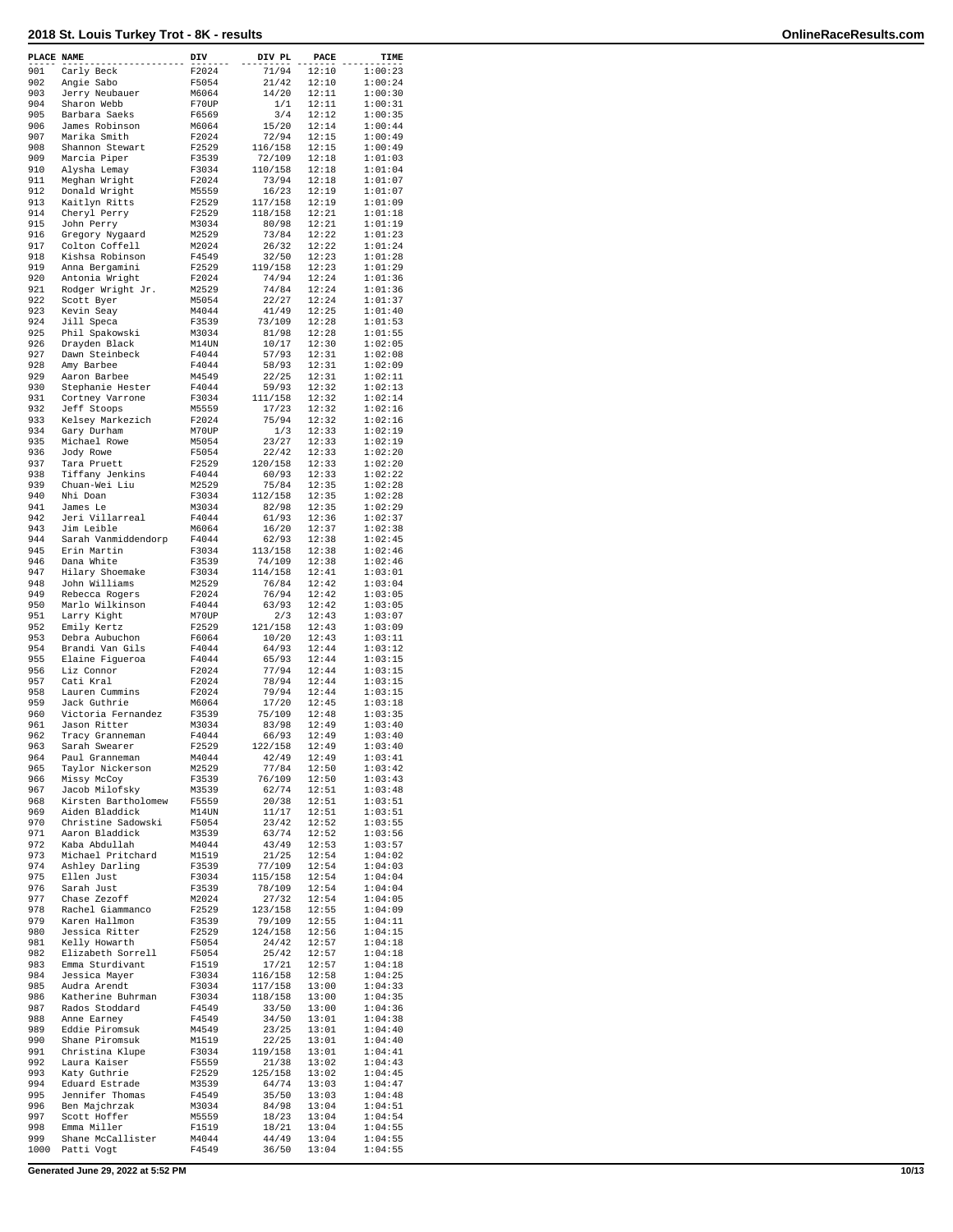| PLACE NAME |                     | DIV   | DIV PL  | PACE  | TIME    |
|------------|---------------------|-------|---------|-------|---------|
| 901        | Carly Beck          | F2024 | 71/94   | 12:10 | 1:00:23 |
| 902        | Angie Sabo          | F5054 | 21/42   | 12:10 | 1:00:24 |
| 903        | Jerry Neubauer      | M6064 | 14/20   | 12:11 | 1:00:30 |
| 904        | Sharon Webb         | F70UP | 1/1     | 12:11 | 1:00:31 |
|            |                     |       |         |       |         |
| 905        | Barbara Saeks       | F6569 | 3/4     | 12:12 | 1:00:35 |
| 906        | James Robinson      | M6064 | 15/20   | 12:14 | 1:00:44 |
| 907        | Marika Smith        | F2024 | 72/94   | 12:15 | 1:00:49 |
| 908        | Shannon Stewart     | F2529 | 116/158 | 12:15 | 1:00:49 |
| 909        | Marcia Piper        | F3539 | 72/109  | 12:18 | 1:01:03 |
| 910        | Alysha Lemay        | F3034 | 110/158 | 12:18 | 1:01:04 |
| 911        | Meghan Wright       | F2024 | 73/94   | 12:18 | 1:01:07 |
|            |                     |       |         |       |         |
| 912        | Donald Wright       | M5559 | 16/23   | 12:19 | 1:01:07 |
| 913        | Kaitlyn Ritts       | F2529 | 117/158 | 12:19 | 1:01:09 |
| 914        | Cheryl Perry        | F2529 | 118/158 | 12:21 | 1:01:18 |
| 915        | John Perry          | M3034 | 80/98   | 12:21 | 1:01:19 |
| 916        | Gregory Nygaard     | M2529 | 73/84   | 12:22 | 1:01:23 |
|            |                     |       |         |       | 1:01:24 |
| 917        | Colton Coffell      | M2024 | 26/32   | 12:22 |         |
| 918        | Kishsa Robinson     | F4549 | 32/50   | 12:23 | 1:01:28 |
| 919        | Anna Bergamini      | F2529 | 119/158 | 12:23 | 1:01:29 |
| 920        | Antonia Wright      | F2024 | 74/94   | 12:24 | 1:01:36 |
| 921        | Rodger Wright Jr.   | M2529 | 74/84   | 12:24 | 1:01:36 |
| 922        |                     | M5054 | 22/27   | 12:24 | 1:01:37 |
|            | Scott Byer          |       |         |       |         |
| 923        | Kevin Seay          | M4044 | 41/49   | 12:25 | 1:01:40 |
| 924        | Jill Speca          | F3539 | 73/109  | 12:28 | 1:01:53 |
| 925        | Phil Spakowski      | M3034 | 81/98   | 12:28 | 1:01:55 |
| 926        | Drayden Black       | M14UN | 10/17   | 12:30 | 1:02:05 |
| 927        | Dawn Steinbeck      | F4044 | 57/93   | 12:31 | 1:02:08 |
| 928        | Amy Barbee          | F4044 | 58/93   | 12:31 | 1:02:09 |
|            |                     |       |         |       |         |
| 929        | Aaron Barbee        | M4549 | 22/25   | 12:31 | 1:02:11 |
| 930        | Stephanie Hester    | F4044 | 59/93   | 12:32 | 1:02:13 |
| 931        | Cortney Varrone     | F3034 | 111/158 | 12:32 | 1:02:14 |
| 932        | Jeff Stoops         | M5559 | 17/23   | 12:32 | 1:02:16 |
| 933        | Kelsey Markezich    | F2024 | 75/94   | 12:32 | 1:02:16 |
| 934        | Gary Durham         | M70UP | 1/3     | 12:33 | 1:02:19 |
|            |                     |       |         |       |         |
| 935        | Michael Rowe        | M5054 | 23/27   | 12:33 | 1:02:19 |
| 936        | Jody Rowe           | F5054 | 22/42   | 12:33 | 1:02:20 |
| 937        | Tara Pruett         | F2529 | 120/158 | 12:33 | 1:02:20 |
| 938        | Tiffany Jenkins     | F4044 | 60/93   | 12:33 | 1:02:22 |
| 939        | Chuan-Wei Liu       | M2529 | 75/84   | 12:35 | 1:02:28 |
| 940        | Nhi Doan            |       |         | 12:35 |         |
|            |                     | F3034 | 112/158 |       | 1:02:28 |
| 941        | James Le            | M3034 | 82/98   | 12:35 | 1:02:29 |
| 942        | Jeri Villarreal     | F4044 | 61/93   | 12:36 | 1:02:37 |
| 943        | Jim Leible          | M6064 | 16/20   | 12:37 | 1:02:38 |
| 944        | Sarah Vanmiddendorp | F4044 | 62/93   | 12:38 | 1:02:45 |
| 945        | Erin Martin         | F3034 | 113/158 | 12:38 | 1:02:46 |
|            |                     |       |         |       |         |
| 946        | Dana White          | F3539 | 74/109  | 12:38 | 1:02:46 |
| 947        | Hilary Shoemake     | F3034 | 114/158 | 12:41 | 1:03:01 |
| 948        | John Williams       | M2529 | 76/84   | 12:42 | 1:03:04 |
| 949        | Rebecca Rogers      | F2024 | 76/94   | 12:42 | 1:03:05 |
| 950        | Marlo Wilkinson     | F4044 | 63/93   | 12:42 | 1:03:05 |
| 951        | Larry Kight         | M70UP | 2/3     | 12:43 | 1:03:07 |
| 952        |                     | F2529 |         | 12:43 | 1:03:09 |
|            | Emily Kertz         |       | 121/158 |       |         |
| 953        | Debra Aubuchon      | F6064 | 10/20   | 12:43 | 1:03:11 |
| 954        | Brandi Van Gils     | F4044 | 64/93   | 12:44 | 1:03:12 |
| 955        | Elaine Figueroa     | F4044 | 65/93   | 12:44 | 1:03:15 |
| 956        | Liz Connor          | F2024 | 77/94   | 12:44 | 1:03:15 |
| 957        | Cati Kral           | F2024 | 78/94   | 12:44 | 1:03:15 |
|            |                     |       |         |       |         |
| 958        | Lauren Cummins      | F2024 | 79/94   | 12:44 | 1:03:15 |
| 959        | Jack Guthrie        | M6064 | 17/20   | 12:45 | 1:03:18 |
| 960        | Victoria Fernandez  | F3539 | 75/109  | 12:48 | 1:03:35 |
| 961        | Jason Ritter        | M3034 | 83/98   | 12:49 | 1:03:40 |
| 962        | Tracy Granneman     | F4044 | 66/93   | 12:49 | 1:03:40 |
| 963        | Sarah Swearer       | F2529 | 122/158 | 12:49 | 1:03:40 |
|            |                     |       |         |       |         |
| 964        | Paul Granneman      | M4044 | 42/49   | 12:49 | 1:03:41 |
| 965        | Taylor Nickerson    | M2529 | 77/84   | 12:50 | 1:03:42 |
| 966        | Missy McCoy         | F3539 | 76/109  | 12:50 | 1:03:43 |
| 967        | Jacob Milofsky      | M3539 | 62/74   | 12:51 | 1:03:48 |
| 968        | Kirsten Bartholomew | F5559 | 20/38   | 12:51 | 1:03:51 |
| 969        | Aiden Bladdick      | M14UN | 11/17   | 12:51 | 1:03:51 |
| 970        | Christine Sadowski  | F5054 | 23/42   | 12:52 | 1:03:55 |
| 971        |                     | M3539 |         | 12:52 | 1:03:56 |
|            | Aaron Bladdick      |       | 63/74   |       |         |
| 972        | Kaba Abdullah       | M4044 | 43/49   | 12:53 | 1:03:57 |
| 973        | Michael Pritchard   | M1519 | 21/25   | 12:54 | 1:04:02 |
| 974        | Ashley Darling      | F3539 | 77/109  | 12:54 | 1:04:03 |
| 975        | Ellen Just          | F3034 | 115/158 | 12:54 | 1:04:04 |
| 976        | Sarah Just          | F3539 | 78/109  | 12:54 | 1:04:04 |
| 977        | Chase Zezoff        |       |         | 12:54 | 1:04:05 |
|            |                     | M2024 | 27/32   |       |         |
| 978        | Rachel Giammanco    | F2529 | 123/158 | 12:55 | 1:04:09 |
| 979        | Karen Hallmon       | F3539 | 79/109  | 12:55 | 1:04:11 |
| 980        | Jessica Ritter      | F2529 | 124/158 | 12:56 | 1:04:15 |
| 981        | Kelly Howarth       | F5054 | 24/42   | 12:57 | 1:04:18 |
| 982        | Elizabeth Sorrell   | F5054 | 25/42   | 12:57 | 1:04:18 |
| 983        | Emma Sturdivant     |       |         |       | 1:04:18 |
|            |                     | F1519 | 17/21   | 12:57 |         |
| 984        | Jessica Mayer       | F3034 | 116/158 | 12:58 | 1:04:25 |
| 985        | Audra Arendt        | F3034 | 117/158 | 13:00 | 1:04:33 |
| 986        | Katherine Buhrman   | F3034 | 118/158 | 13:00 | 1:04:35 |
| 987        | Rados Stoddard      | F4549 | 33/50   | 13:00 | 1:04:36 |
| 988        | Anne Earney         | F4549 | 34/50   | 13:01 | 1:04:38 |
|            |                     |       |         |       |         |
| 989        | Eddie Piromsuk      | M4549 | 23/25   | 13:01 | 1:04:40 |
| 990        | Shane Piromsuk      | M1519 | 22/25   | 13:01 | 1:04:40 |
| 991        | Christina Klupe     | F3034 | 119/158 | 13:01 | 1:04:41 |
| 992        | Laura Kaiser        | F5559 | 21/38   | 13:02 | 1:04:43 |
| 993        | Katy Guthrie        | F2529 | 125/158 | 13:02 | 1:04:45 |
| 994        | Eduard Estrade      | M3539 | 64/74   | 13:03 | 1:04:47 |
|            |                     |       |         |       |         |
| 995        | Jennifer Thomas     | F4549 | 35/50   | 13:03 | 1:04:48 |
| 996        | Ben Majchrzak       | M3034 | 84/98   | 13:04 | 1:04:51 |
| 997        | Scott Hoffer        | M5559 | 18/23   | 13:04 | 1:04:54 |
| 998        | Emma Miller         | F1519 | 18/21   | 13:04 | 1:04:55 |
| 999        | Shane McCallister   | M4044 | 44/49   | 13:04 | 1:04:55 |
| 1000       | Patti Vogt          | F4549 | 36/50   | 13:04 | 1:04:55 |
|            |                     |       |         |       |         |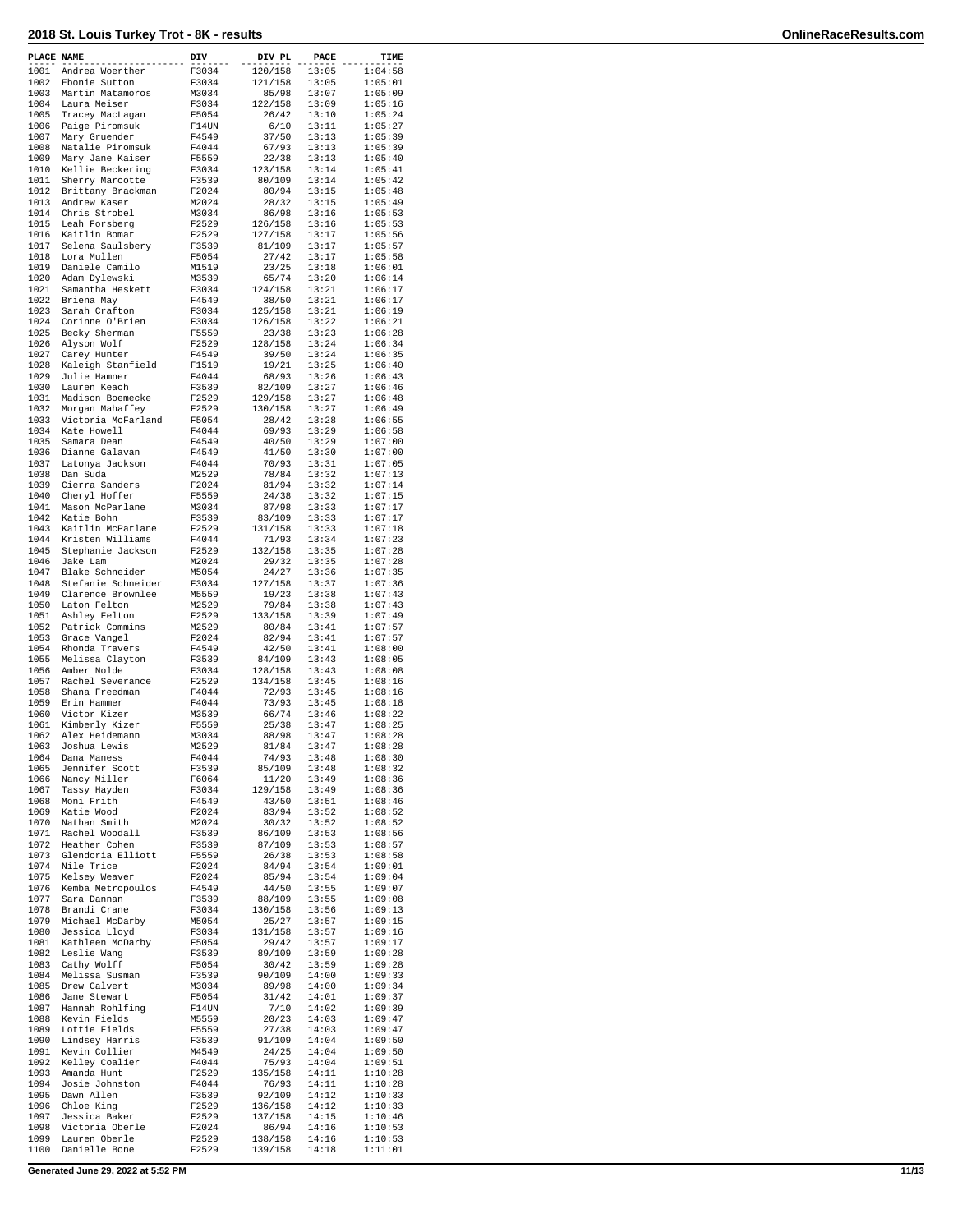| PLACE NAME   |                                       | $_{\text{DIV}}$ | DIV PL             | PACE           | TIME               |
|--------------|---------------------------------------|-----------------|--------------------|----------------|--------------------|
| 1001         | Andrea Woerther                       | F3034           | 120/158            | 13:05          | 1:04:58            |
| 1002         | Ebonie Sutton                         | F3034           | 121/158            | 13:05          | 1:05:01            |
|              | 1003 Martin Matamoros                 | M3034           | 85/98              | 13:07          | 1:05:09            |
|              | 1004 Laura Meiser                     | F3034           | 122/158            | 13:09          | 1:05:16            |
| 1005<br>1006 | Tracey MacLagan<br>Paige Piromsuk     | F5054<br>F14UN  | 26/42<br>6/10      | 13:10<br>13:11 | 1:05:24<br>1:05:27 |
| 1007         | Mary Gruender                         | F4549           | 37/50              | 13:13          | 1:05:39            |
| 1008         | Natalie Piromsuk                      | F4044           | 67/93              | 13:13          | 1:05:39            |
| 1009         | Mary Jane Kaiser                      | F5559           | 22/38              | 13:13          | 1:05:40            |
|              | 1010 Kellie Beckering                 | F3034           | 123/158            | 13:14          | 1:05:41            |
| 1011         | Sherry Marcotte                       | F3539           | 80/109             | 13:14          | 1:05:42            |
| 1013         | 1012 Brittany Brackman                | F2024           | 80/94              | 13:15          | 1:05:48            |
| 1014         | Andrew Kaser<br>Chris Strobel         | M2024<br>M3034  | 28/32<br>86/98     | 13:15<br>13:16 | 1:05:49<br>1:05:53 |
| 1015         | Leah Forsberg                         | F2529           | 126/158            | 13:16          | 1:05:53            |
| 1016         | Kaitlin Bomar                         | F2529           | 127/158            | 13:17          | 1:05:56            |
| 1017         | Selena Saulsbery                      | F3539           | 81/109             | 13:17          | 1:05:57            |
| 1018         | Lora Mullen                           | F5054           | 27/42              | 13:17          | 1:05:58            |
| 1019         | Daniele Camilo                        | M1519           | 23/25              | 13:18          | 1:06:01            |
| 1020<br>1021 | Adam Dylewski<br>Samantha Heskett     | M3539<br>F3034  | 65/74<br>124/158   | 13:20<br>13:21 | 1:06:14<br>1:06:17 |
| 1022         | Briena May                            | F4549           | 38/50              | 13:21          | 1:06:17            |
| 1023         | Sarah Crafton                         | F3034           | 125/158            | 13:21          | 1:06:19            |
| 1024         | Corinne O'Brien                       | F3034           | 126/158            | 13:22          | 1:06:21            |
| 1025         | Becky Sherman                         | F5559           | 23/38              | 13:23          | 1:06:28            |
| 1026         | Alyson Wolf                           | F2529           | 128/158            | 13:24          | 1:06:34            |
| 1027         | Carey Hunter                          | F4549           | 39/50              | 13:24          | 1:06:35            |
| 1028<br>1029 | Kaleigh Stanfield<br>Julie Hamner     | F1519<br>F4044  | 19/21<br>68/93     | 13:25<br>13:26 | 1:06:40<br>1:06:43 |
| 1030         | Lauren Keach                          | F3539           | 82/109             | 13:27          | 1:06:46            |
| 1031         | Madison Boemecke                      | F2529           | 129/158            | 13:27          | 1:06:48            |
| 1032         | Morgan Mahaffey                       | F2529           | 130/158            | 13:27          | 1:06:49            |
| 1033         | Victoria McFarland                    | F5054           | 28/42              | 13:28          | 1:06:55            |
| 1034         | Kate Howell                           | F4044           | 69/93              | 13:29          | 1:06:58            |
| 1035         | Samara Dean                           | F4549           | 40/50              | 13:29          | 1:07:00            |
| 1036<br>1037 | Dianne Galavan<br>Latonya Jackson     | F4549<br>F4044  | 41/50<br>70/93     | 13:30<br>13:31 | 1:07:00<br>1:07:05 |
| 1038         | Dan Suda                              | M2529           | 78/84              | 13:32          | 1:07:13            |
| 1039         | Cierra Sanders                        | F2024           | 81/94              | 13:32          | 1:07:14            |
| 1040         | Cheryl Hoffer                         | F5559           | 24/38              | 13:32          | 1:07:15            |
| 1041         | Mason McParlane                       | M3034           | 87/98              | 13:33          | 1:07:17            |
| 1042         | Katie Bohn                            | F3539           | 83/109             | 13:33          | 1:07:17            |
| 1043         | Kaitlin McParlane                     | F2529           | 131/158            | 13:33          | 1:07:18            |
| 1044<br>1045 | Kristen Williams<br>Stephanie Jackson | F4044<br>F2529  | 71/93<br>132/158   | 13:34<br>13:35 | 1:07:23<br>1:07:28 |
| 1046         | Jake Lam                              | M2024           | 29/32              | 13:35          | 1:07:28            |
| 1047         | Blake Schneider                       | M5054           | 24/27              | 13:36          | 1:07:35            |
| 1048         | Stefanie Schneider                    | F3034           | 127/158            | 13:37          | 1:07:36            |
| 1049         | Clarence Brownlee                     | M5559           | 19/23              | 13:38          | 1:07:43            |
| 1050         | Laton Felton                          | M2529           | 79/84              | 13:38          | 1:07:43            |
| 1051<br>1052 | Ashley Felton                         | F2529<br>M2529  | 133/158<br>80/84   | 13:39<br>13:41 | 1:07:49<br>1:07:57 |
| 1053         | Patrick Commins<br>Grace Vangel       | F2024           | 82/94              | 13:41          | 1:07:57            |
| 1054         | Rhonda Travers                        | F4549           | 42/50              | 13:41          | 1:08:00            |
| 1055         | Melissa Clayton                       | F3539           | 84/109             | 13:43          | 1:08:05            |
| 1056         | Amber Nolde                           | F3034           | 128/158            | 13:43          | 1:08:08            |
| 1057         | Rachel Severance                      | F2529           | 134/158            | 13:45          | 1:08:16            |
| 1058<br>1059 | Shana Freedman                        | F4044<br>F4044  | 72/93              | 13:45          | 1:08:16            |
| 1060         | Erin Hammer<br>Victor Kizer           | M3539           | 73/93<br>66/74     | 13:45<br>13:46 | 1:08:18<br>1:08:22 |
| 1061         | Kimberly Kizer                        | F5559           | 25/38              | 13:47          | 1:08:25            |
| 1062         | Alex Heidemann                        | M3034           | 88/98              | 13:47          | 1:08:28            |
|              | 1063 Joshua Lewis                     | M2529           | 81/84              | 13:47          | 1:08:28            |
| 1064         | Dana Maness                           | F4044           | 74/93              | 13:48          | 1:08:30            |
| 1065         | Jennifer Scott                        | F3539           | 85/109             | 13:48          | 1:08:32            |
| 1066<br>1067 | Nancy Miller<br>Tassy Hayden          | F6064<br>F3034  | 11/20<br>129/158   | 13:49<br>13:49 | 1:08:36<br>1:08:36 |
| 1068         | Moni Frith                            | F4549           | 43/50              | 13:51          | 1:08:46            |
| 1069         | Katie Wood                            | F2024           | 83/94              | 13:52          | 1:08:52            |
| 1070         | Nathan Smith                          | M2024           | 30/32              | 13:52          | 1:08:52            |
| 1071         | Rachel Woodall                        | F3539           | 86/109             | 13:53          | 1:08:56            |
| 1072         | Heather Cohen                         | F3539           | 87/109             | 13:53          | 1:08:57            |
| 1073<br>1074 | Glendoria Elliott<br>Nile Trice       | F5559<br>F2024  | 26/38<br>84/94     | 13:53<br>13:54 | 1:08:58<br>1:09:01 |
| 1075         | Kelsey Weaver                         | F2024           | 85/94              | 13:54          | 1:09:04            |
| 1076         | Kemba Metropoulos                     | F4549           | 44/50              | 13:55          | 1:09:07            |
| 1077         | Sara Dannan                           | F3539           | 88/109             | 13:55          | 1:09:08            |
| 1078         | Brandi Crane                          | F3034           | 130/158            | 13:56          | 1:09:13            |
| 1079         | Michael McDarby                       | M5054           | 25/27              | 13:57          | 1:09:15            |
| 1080         | Jessica Lloyd                         | F3034           | 131/158            | 13:57          | 1:09:16            |
| 1081         | Kathleen McDarby                      | F5054           | 29/42              | 13:57          | 1:09:17            |
| 1082<br>1083 | Leslie Wang<br>Cathy Wolff            | F3539<br>F5054  | 89/109<br>30/42    | 13:59<br>13:59 | 1:09:28<br>1:09:28 |
| 1084         | Melissa Susman                        | F3539           | 90/109             | 14:00          | 1:09:33            |
| 1085         | Drew Calvert                          | M3034           | 89/98              | 14:00          | 1:09:34            |
| 1086         | Jane Stewart                          | F5054           | 31/42              | 14:01          | 1:09:37            |
| 1087         | Hannah Rohlfing                       | F14UN           | 7/10               | 14:02          | 1:09:39            |
| 1088         | Kevin Fields                          | M5559           | 20/23              | 14:03          | 1:09:47            |
| 1089<br>1090 | Lottie Fields<br>Lindsey Harris       | F5559<br>F3539  | 27/38<br>91/109    | 14:03<br>14:04 | 1:09:47<br>1:09:50 |
| 1091         | Kevin Collier                         | M4549           | 24/25              | 14:04          | 1:09:50            |
| 1092         | Kelley Coalier                        | F4044           | 75/93              | 14:04          | 1:09:51            |
| 1093         | Amanda Hunt                           | F2529           | 135/158            | 14:11          | 1:10:28            |
| 1094         | Josie Johnston                        | F4044           | 76/93              | 14:11          | 1:10:28            |
| 1095         | Dawn Allen                            | F3539           | 92/109             | 14:12          | 1:10:33            |
| 1096<br>1097 | Chloe King<br>Jessica Baker           | F2529<br>F2529  | 136/158<br>137/158 | 14:12<br>14:15 | 1:10:33<br>1:10:46 |
| 1098         | Victoria Oberle                       | F2024           | 86/94              | 14:16          | 1:10:53            |
| 1099         | Lauren Oberle                         | F2529           | 138/158            | 14:16          | 1:10:53            |
| 1100         | Danielle Bone                         | F2529           | 139/158            | 14:18          | 1:11:01            |
|              |                                       |                 |                    |                |                    |

**Generated June 29, 2022 at 5:52 PM 11/13**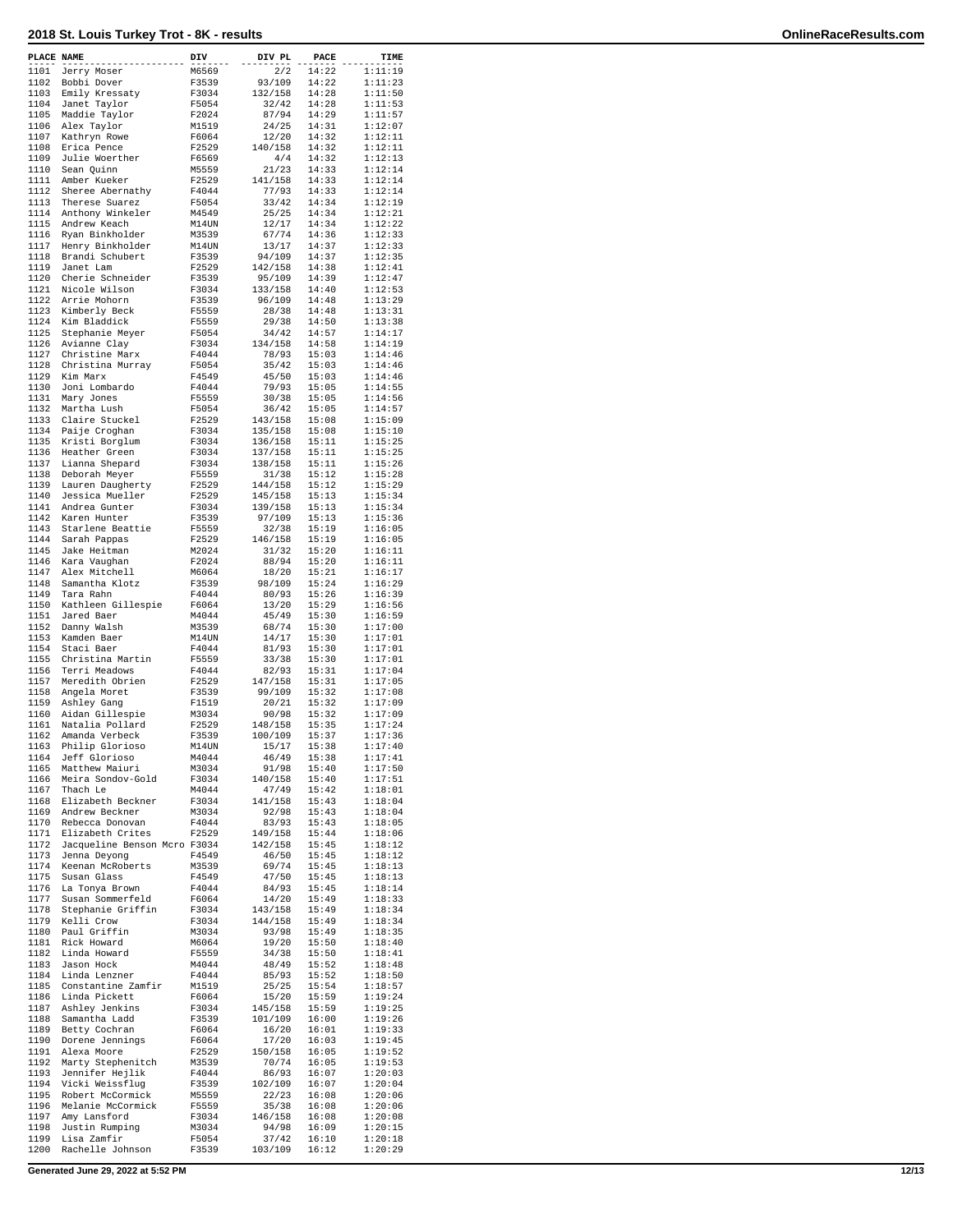| PLACE NAME   |                                      | DIV            | DIV PL             | PACE           | TIME               |
|--------------|--------------------------------------|----------------|--------------------|----------------|--------------------|
| 1101         | Jerry Moser                          | M6569          | 2/2                | 14:22          | 1:11:19            |
| 1102         | Bobbi Dover                          | F3539          | 93/109             | 14:22          | 1:11:23            |
| 1103<br>1104 | Emily Kressaty<br>Janet Taylor       | F3034<br>F5054 | 132/158<br>32/42   | 14:28<br>14:28 | 1:11:50<br>1:11:53 |
| 1105         | Maddie Taylor                        | F2024          | 87/94              | 14:29          | 1:11:57            |
| 1106         | Alex Taylor                          | M1519          | 24/25              | 14:31          | 1:12:07            |
| 1107         | Kathryn Rowe                         | F6064          | 12/20              | 14:32          | 1:12:11            |
| 1108         | Erica Pence                          | F2529          | 140/158            | 14:32          | 1:12:11            |
| 1109<br>1110 | Julie Woerther<br>Sean Quinn         | F6569<br>M5559 | 4/4<br>21/23       | 14:32<br>14:33 | 1:12:13<br>1:12:14 |
| 1111         | Amber Kueker                         | F2529          | 141/158            | 14:33          | 1:12:14            |
| 1112         | Sheree Abernathy                     | F4044          | 77/93              | 14:33          | 1:12:14            |
| 1113         | Therese Suarez                       | F5054          | 33/42              | 14:34          | 1:12:19            |
| 1114         | Anthony Winkeler                     | M4549          | 25/25              | 14:34          | 1:12:21            |
| 1115<br>1116 | Andrew Keach<br>Ryan Binkholder      | M14UN<br>M3539 | 12/17<br>67/74     | 14:34<br>14:36 | 1:12:22<br>1:12:33 |
| 1117         | Henry Binkholder                     | M14UN          | 13/17              | 14:37          | 1:12:33            |
| 1118         | Brandi Schubert                      | F3539          | 94/109             | 14:37          | 1:12:35            |
| 1119         | Janet Lam                            | F2529          | 142/158            | 14:38          | 1:12:41            |
| 1120         | Cherie Schneider                     | F3539          | 95/109             | 14:39          | 1:12:47            |
| 1121<br>1122 | Nicole Wilson<br>Arrie Mohorn        | F3034<br>F3539 | 133/158<br>96/109  | 14:40<br>14:48 | 1:12:53<br>1:13:29 |
| 1123         | Kimberly Beck                        | F5559          | 28/38              | 14:48          | 1:13:31            |
| 1124         | Kim Bladdick                         | F5559          | 29/38              | 14:50          | 1:13:38            |
| 1125         | Stephanie Meyer                      | F5054          | 34/42              | 14:57          | 1:14:17            |
| 1126         | Avianne Clay                         | F3034          | 134/158            | 14:58          | 1:14:19            |
| 1127         | Christine Marx                       | F4044          | 78/93              | 15:03          | 1:14:46            |
| 1128<br>1129 | Christina Murray<br>Kim Marx         | F5054<br>F4549 | 35/42<br>45/50     | 15:03<br>15:03 | 1:14:46<br>1:14:46 |
| 1130         | Joni Lombardo                        | F4044          | 79/93              | 15:05          | 1:14:55            |
| 1131         | Mary Jones                           | F5559          | 30/38              | 15:05          | 1:14:56            |
| 1132         | Martha Lush                          | F5054          | 36/42              | 15:05          | 1:14:57            |
| 1133         | Claire Stuckel                       | F2529          | 143/158            | 15:08          | 1:15:09            |
| 1134<br>1135 | Paije Croghan                        | F3034<br>F3034 | 135/158<br>136/158 | 15:08<br>15:11 | 1:15:10<br>1:15:25 |
| 1136         | Kristi Borglum<br>Heather Green      | F3034          | 137/158            | 15:11          | 1:15:25            |
| 1137         | Lianna Shepard                       | F3034          | 138/158            | 15:11          | 1:15:26            |
| 1138         | Deborah Meyer                        | F5559          | 31/38              | 15:12          | 1:15:28            |
| 1139         | Lauren Daugherty                     | F2529          | 144/158            | 15:12          | 1:15:29            |
| 1140         | Jessica Mueller                      | F2529          | 145/158            | 15:13          | 1:15:34            |
| 1141<br>1142 | Andrea Gunter<br>Karen Hunter        | F3034<br>F3539 | 139/158<br>97/109  | 15:13<br>15:13 | 1:15:34<br>1:15:36 |
| 1143         | Starlene Beattie                     | F5559          | 32/38              | 15:19          | 1:16:05            |
| 1144         | Sarah Pappas                         | F2529          | 146/158            | 15:19          | 1:16:05            |
| 1145         | Jake Heitman                         | M2024          | 31/32              | 15:20          | 1:16:11            |
| 1146         | Kara Vaughan                         | F2024          | 88/94              | 15:20          | 1:16:11            |
| 1147         | Alex Mitchell                        | M6064          | 18/20              | 15:21          | 1:16:17            |
| 1148<br>1149 | Samantha Klotz<br>Tara Rahn          | F3539<br>F4044 | 98/109<br>80/93    | 15:24<br>15:26 | 1:16:29<br>1:16:39 |
| 1150         | Kathleen Gillespie                   | F6064          | 13/20              | 15:29          | 1:16:56            |
| 1151         | Jared Baer                           | M4044          | 45/49              | 15:30          | 1:16:59            |
| 1152         | Danny Walsh                          | M3539          | 68/74              | 15:30          | 1:17:00            |
| 1153         | Kamden Baer                          | M14UN          | 14/17              | 15:30          | 1:17:01            |
| 1154         | Staci Baer                           | F4044          | 81/93<br>33/38     | 15:30          | 1:17:01            |
| 1155<br>1156 | Christina Martin<br>Terri Meadows    | F5559<br>F4044 | 82/93              | 15:30<br>15:31 | 1:17:01<br>1:17:04 |
| 1157         | Meredith Obrien                      | F2529          | 147/158            | 15:31          | 1:17:05            |
| 1158         | Angela Moret                         | F3539          | 99/109             | 15:32          | 1:17:08            |
| 1159         | Ashley Gang                          | F1519          | 20/21              | 15:32          | 1:17:09            |
| 1160         | Aidan Gillespie                      | M3034          | 90/98              | 15:32          | 1:17:09            |
| 1161<br>1162 | Natalia Pollard<br>Amanda Verbeck    | F2529<br>F3539 | 148/158<br>100/109 | 15:35<br>15:37 | 1:17:24<br>1:17:36 |
| 1163         | Philip Glorioso                      | M14UN          | 15/17              | 15:38          | 1:17:40            |
| 1164         | Jeff Glorioso                        | M4044          | 46/49              | 15:38          | 1:17:41            |
| 1165         | Matthew Maiuri                       | M3034          | 91/98              | 15:40          | 1:17:50            |
| 1166         | Meira Sondov-Gold                    | F3034          | 140/158            | 15:40          | 1:17:51            |
| 1167<br>1168 | Thach Le<br>Elizabeth Beckner        | M4044<br>F3034 | 47/49<br>141/158   | 15:42<br>15:43 | 1:18:01<br>1:18:04 |
| 1169         | Andrew Beckner                       | M3034          | 92/98              | 15:43          | 1:18:04            |
| 1170         | Rebecca Donovan                      | F4044          | 83/93              | 15:43          | 1:18:05            |
| 1171         | Elizabeth Crites                     | F2529          | 149/158            | 15:44          | 1:18:06            |
| 1172         | Jacqueline Benson Mcro F3034         |                | 142/158            | 15:45          | 1:18:12            |
| 1173<br>1174 | Jenna Deyong<br>Keenan McRoberts     | F4549<br>M3539 | 46/50<br>69/74     | 15:45<br>15:45 | 1:18:12<br>1:18:13 |
| 1175         | Susan Glass                          | F4549          | 47/50              | 15:45          | 1:18:13            |
| 1176         | La Tonya Brown                       | F4044          | 84/93              | 15:45          | 1:18:14            |
| 1177         | Susan Sommerfeld                     | F6064          | 14/20              | 15:49          | 1:18:33            |
| 1178         | Stephanie Griffin                    | F3034          | 143/158            | 15:49          | 1:18:34            |
| 1179         | Kelli Crow                           | F3034          | 144/158<br>93/98   | 15:49          | 1:18:34            |
| 1180<br>1181 | Paul Griffin<br>Rick Howard          | M3034<br>M6064 | 19/20              | 15:49<br>15:50 | 1:18:35<br>1:18:40 |
| 1182         | Linda Howard                         | F5559          | 34/38              | 15:50          | 1:18:41            |
| 1183         | Jason Hock                           | M4044          | 48/49              | 15:52          | 1:18:48            |
| 1184         | Linda Lenzner                        | F4044          | 85/93              | 15:52          | 1:18:50            |
| 1185         | Constantine Zamfir                   | M1519          | 25/25              | 15:54          | 1:18:57            |
| 1186<br>1187 | Linda Pickett<br>Ashley Jenkins      | F6064<br>F3034 | 15/20<br>145/158   | 15:59<br>15:59 | 1:19:24<br>1:19:25 |
| 1188         | Samantha Ladd                        | F3539          | 101/109            | 16:00          | 1:19:26            |
| 1189         | Betty Cochran                        | F6064          | 16/20              | 16:01          | 1:19:33            |
| 1190         | Dorene Jennings                      | F6064          | 17/20              | 16:03          | 1:19:45            |
| 1191         | Alexa Moore                          | F2529          | 150/158            | 16:05          | 1:19:52            |
| 1192<br>1193 | Marty Stephenitch<br>Jennifer Hejlik | M3539<br>F4044 | 70/74<br>86/93     | 16:05<br>16:07 | 1:19:53<br>1:20:03 |
| 1194         | Vicki Weissflug                      | F3539          | 102/109            | 16:07          | 1:20:04            |
| 1195         | Robert McCormick                     | M5559          | 22/23              | 16:08          | 1:20:06            |
| 1196         | Melanie McCormick                    | F5559          | 35/38              | 16:08          | 1:20:06            |
| 1197         | Amy Lansford                         | F3034          | 146/158            | 16:08          | 1:20:08            |
| 1198<br>1199 | Justin Rumping<br>Lisa Zamfir        | M3034<br>F5054 | 94/98<br>37/42     | 16:09<br>16:10 | 1:20:15<br>1:20:18 |
| 1200         | Rachelle Johnson                     | F3539          | 103/109            | 16:12          | 1:20:29            |
|              |                                      |                |                    |                |                    |

**Generated June 29, 2022 at 5:52 PM 12/13**